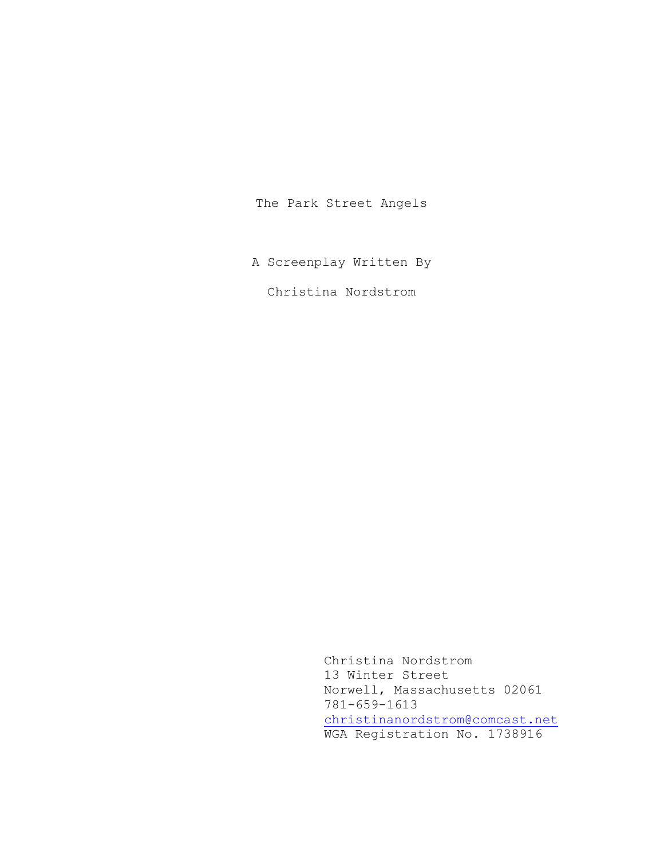The Park Street Angels

A Screenplay Written By

Christina Nordstrom

 Christina Nordstrom 13 Winter Street Norwell, Massachusetts 02061 781-659-1613 [christinanordstrom@comcast.net](mailto:christinanordstrom@comcast.net) WGA Registration No. 1738916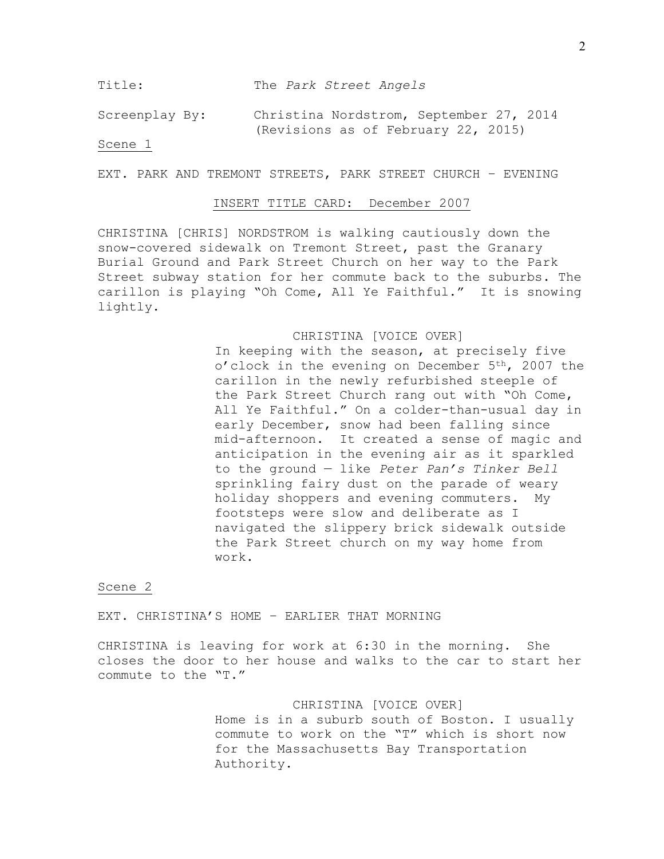Title: The *Park Street Angels*

Screenplay By: Christina Nordstrom, September 27, 2014 (Revisions as of February 22, 2015)

# Scene 1

EXT. PARK AND TREMONT STREETS, PARK STREET CHURCH – EVENING

## INSERT TITLE CARD: December 2007

CHRISTINA [CHRIS] NORDSTROM is walking cautiously down the snow-covered sidewalk on Tremont Street, past the Granary Burial Ground and Park Street Church on her way to the Park Street subway station for her commute back to the suburbs. The carillon is playing "Oh Come, All Ye Faithful." It is snowing lightly.

## CHRISTINA [VOICE OVER]

In keeping with the season, at precisely five o'clock in the evening on December 5<sup>th</sup>, 2007 the carillon in the newly refurbished steeple of the Park Street Church rang out with "Oh Come, All Ye Faithful." On a colder-than-usual day in early December, snow had been falling since mid-afternoon. It created a sense of magic and anticipation in the evening air as it sparkled to the ground — like *Peter Pan's Tinker Bell* sprinkling fairy dust on the parade of weary holiday shoppers and evening commuters. My footsteps were slow and deliberate as I navigated the slippery brick sidewalk outside the Park Street church on my way home from work.

## Scene 2

EXT. CHRISTINA'S HOME – EARLIER THAT MORNING

CHRISTINA is leaving for work at 6:30 in the morning. She closes the door to her house and walks to the car to start her commute to the "T."

> CHRISTINA [VOICE OVER] Home is in a suburb south of Boston. I usually commute to work on the "T" which is short now for the Massachusetts Bay Transportation Authority.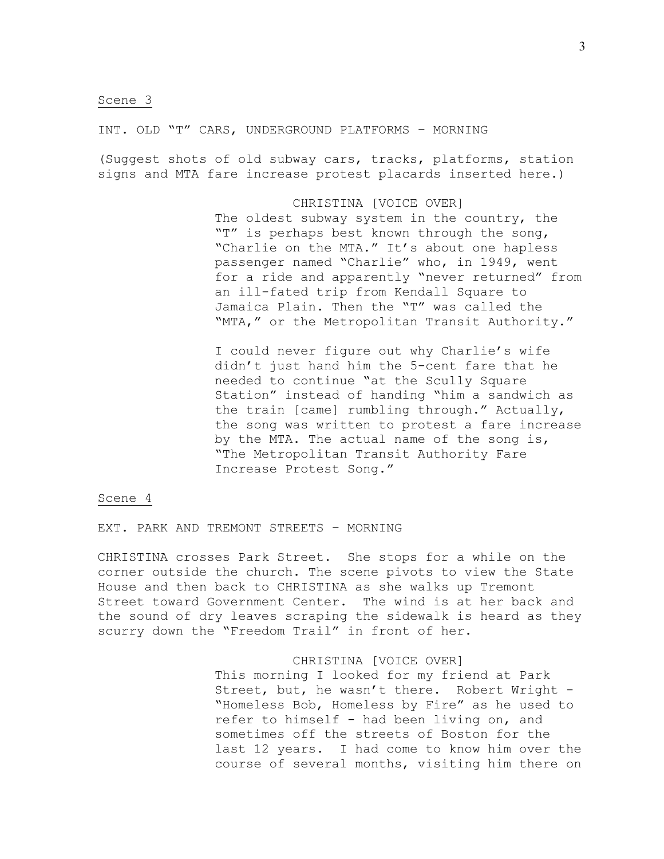INT. OLD "T" CARS, UNDERGROUND PLATFORMS – MORNING

(Suggest shots of old subway cars, tracks, platforms, station signs and MTA fare increase protest placards inserted here.)

> CHRISTINA [VOICE OVER] The oldest subway system in the country, the "T" is perhaps best known through the song, "Charlie on the MTA." It's about one hapless passenger named "Charlie" who, in 1949, went for a ride and apparently "never returned" from an ill-fated trip from Kendall Square to Jamaica Plain. Then the "T" was called the "MTA," or the Metropolitan Transit Authority."

> I could never figure out why Charlie's wife didn't just hand him the 5-cent fare that he needed to continue "at the Scully Square Station" instead of handing "him a sandwich as the train [came] rumbling through." Actually, the song was written to protest a fare increase by the MTA. The actual name of the song is, "The Metropolitan Transit Authority Fare Increase Protest Song."

## Scene 4

EXT. PARK AND TREMONT STREETS – MORNING

CHRISTINA crosses Park Street. She stops for a while on the corner outside the church. The scene pivots to view the State House and then back to CHRISTINA as she walks up Tremont Street toward Government Center. The wind is at her back and the sound of dry leaves scraping the sidewalk is heard as they scurry down the "Freedom Trail" in front of her.

### CHRISTINA [VOICE OVER]

This morning I looked for my friend at Park Street, but, he wasn't there. Robert Wright - "Homeless Bob, Homeless by Fire" as he used to refer to himself - had been living on, and sometimes off the streets of Boston for the last 12 years. I had come to know him over the course of several months, visiting him there on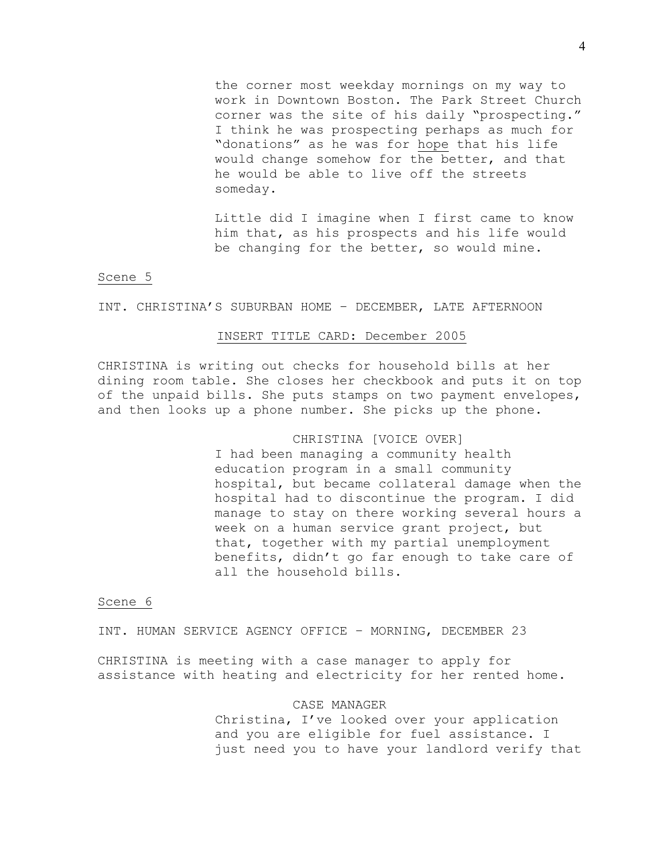the corner most weekday mornings on my way to work in Downtown Boston. The Park Street Church corner was the site of his daily "prospecting." I think he was prospecting perhaps as much for "donations" as he was for hope that his life would change somehow for the better, and that he would be able to live off the streets someday.

Little did I imagine when I first came to know him that, as his prospects and his life would be changing for the better, so would mine.

## Scene 5

## INT. CHRISTINA'S SUBURBAN HOME – DECEMBER, LATE AFTERNOON

## INSERT TITLE CARD: December 2005

CHRISTINA is writing out checks for household bills at her dining room table. She closes her checkbook and puts it on top of the unpaid bills. She puts stamps on two payment envelopes, and then looks up a phone number. She picks up the phone.

## CHRISTINA [VOICE OVER]

I had been managing a community health education program in a small community hospital, but became collateral damage when the hospital had to discontinue the program. I did manage to stay on there working several hours a week on a human service grant project, but that, together with my partial unemployment benefits, didn't go far enough to take care of all the household bills.

# Scene 6

INT. HUMAN SERVICE AGENCY OFFICE – MORNING, DECEMBER 23

CHRISTINA is meeting with a case manager to apply for assistance with heating and electricity for her rented home.

### CASE MANAGER

Christina, I've looked over your application and you are eligible for fuel assistance. I just need you to have your landlord verify that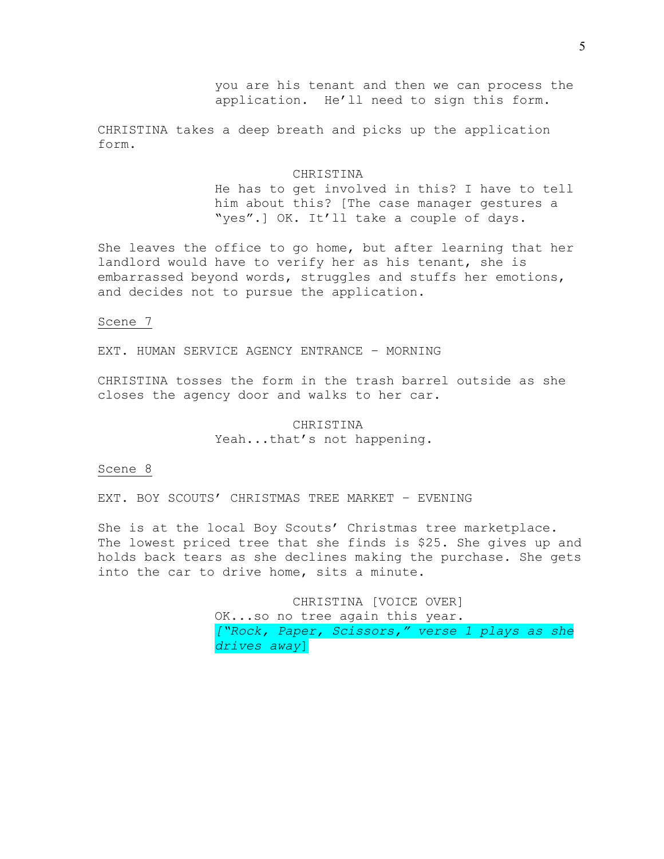you are his tenant and then we can process the application. He'll need to sign this form.

CHRISTINA takes a deep breath and picks up the application form.

### CHRISTINA

He has to get involved in this? I have to tell him about this? [The case manager gestures a "yes".] OK. It'll take a couple of days.

She leaves the office to go home, but after learning that her landlord would have to verify her as his tenant, she is embarrassed beyond words, struggles and stuffs her emotions, and decides not to pursue the application.

## Scene 7

EXT. HUMAN SERVICE AGENCY ENTRANCE – MORNING

CHRISTINA tosses the form in the trash barrel outside as she closes the agency door and walks to her car.

# CHRISTINA Yeah...that's not happening.

# Scene 8

EXT. BOY SCOUTS' CHRISTMAS TREE MARKET – EVENING

She is at the local Boy Scouts' Christmas tree marketplace. The lowest priced tree that she finds is \$25. She gives up and holds back tears as she declines making the purchase. She gets into the car to drive home, sits a minute.

> CHRISTINA [VOICE OVER] OK...so no tree again this year. *["Rock, Paper, Scissors," verse 1 plays as she drives away*]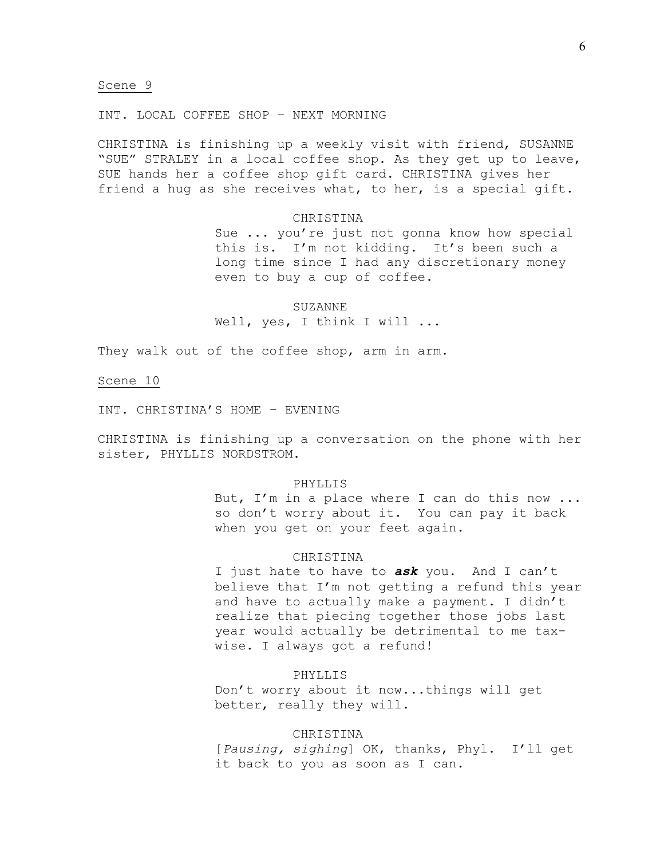INT. LOCAL COFFEE SHOP – NEXT MORNING

CHRISTINA is finishing up a weekly visit with friend, SUSANNE "SUE" STRALEY in a local coffee shop. As they get up to leave, SUE hands her a coffee shop gift card. CHRISTINA gives her friend a hug as she receives what, to her, is a special gift.

## **CHRISTINA**

Sue ... you're just not gonna know how special this is. I'm not kidding. It's been such a long time since I had any discretionary money even to buy a cup of coffee.

SUZANNE Well, yes, I think I will ...

They walk out of the coffee shop, arm in arm.

Scene 10

INT. CHRISTINA'S HOME – EVENING

CHRISTINA is finishing up a conversation on the phone with her sister, PHYLLIS NORDSTROM.

## PHYLLIS

But, I'm in a place where I can do this now ... so don't worry about it. You can pay it back when you get on your feet again.

### CHRISTINA

I just hate to have to *ask* you. And I can't believe that I'm not getting a refund this year and have to actually make a payment. I didn't realize that piecing together those jobs last year would actually be detrimental to me taxwise. I always got a refund!

## PHYLLIS

Don't worry about it now...things will get better, really they will.

## CHRISTINA

[*Pausing, sighing*] OK, thanks, Phyl. I'll get it back to you as soon as I can.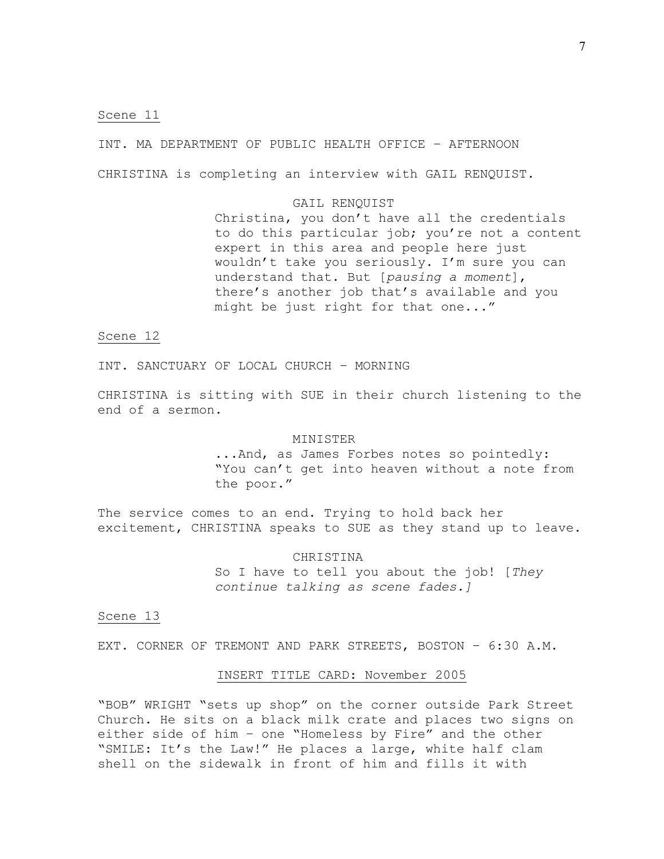INT. MA DEPARTMENT OF PUBLIC HEALTH OFFICE – AFTERNOON CHRISTINA is completing an interview with GAIL RENQUIST.

## GAIL RENQUIST

Christina, you don't have all the credentials to do this particular job; you're not a content expert in this area and people here just wouldn't take you seriously. I'm sure you can understand that. But [*pausing a moment*], there's another job that's available and you might be just right for that one..."

# Scene 12

INT. SANCTUARY OF LOCAL CHURCH – MORNING

CHRISTINA is sitting with SUE in their church listening to the end of a sermon.

## MINISTER

...And, as James Forbes notes so pointedly: "You can't get into heaven without a note from the poor."

The service comes to an end. Trying to hold back her excitement, CHRISTINA speaks to SUE as they stand up to leave.

CHRISTINA

So I have to tell you about the job! [*They continue talking as scene fades.]*

## Scene 13

EXT. CORNER OF TREMONT AND PARK STREETS, BOSTON – 6:30 A.M.

## INSERT TITLE CARD: November 2005

"BOB" WRIGHT "sets up shop" on the corner outside Park Street Church. He sits on a black milk crate and places two signs on either side of him – one "Homeless by Fire" and the other "SMILE: It's the Law!" He places a large, white half clam shell on the sidewalk in front of him and fills it with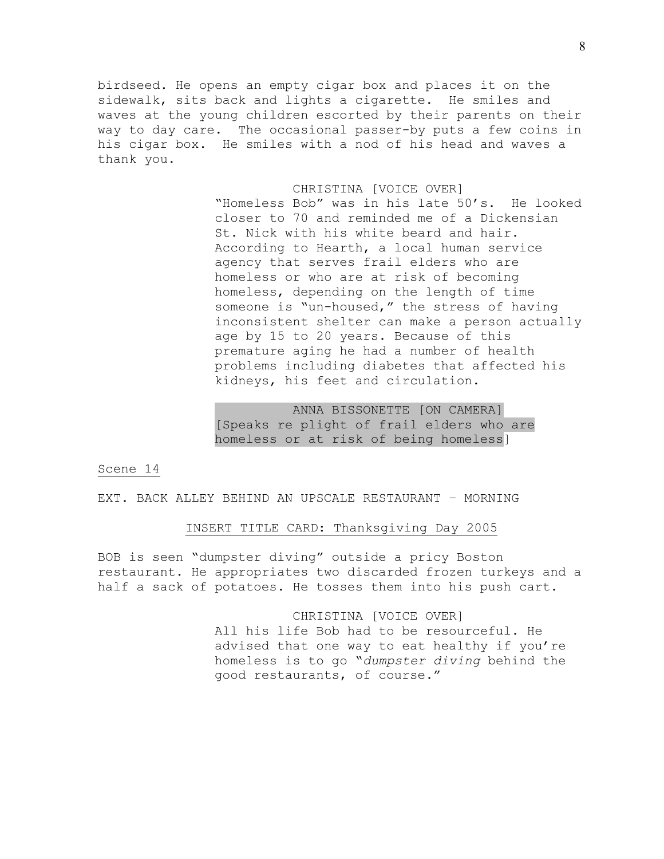birdseed. He opens an empty cigar box and places it on the sidewalk, sits back and lights a cigarette. He smiles and waves at the young children escorted by their parents on their way to day care. The occasional passer-by puts a few coins in his cigar box. He smiles with a nod of his head and waves a thank you.

### CHRISTINA [VOICE OVER]

"Homeless Bob" was in his late 50's. He looked closer to 70 and reminded me of a Dickensian St. Nick with his white beard and hair. According to Hearth, a local human service agency that serves frail elders who are homeless or who are at risk of becoming homeless, depending on the length of time someone is "un-housed," the stress of having inconsistent shelter can make a person actually age by 15 to 20 years. Because of this premature aging he had a number of health problems including diabetes that affected his kidneys, his feet and circulation.

ANNA BISSONETTE [ON CAMERA] [Speaks re plight of frail elders who are homeless or at risk of being homeless]

# Scene 14

EXT. BACK ALLEY BEHIND AN UPSCALE RESTAURANT – MORNING

# INSERT TITLE CARD: Thanksgiving Day 2005

BOB is seen "dumpster diving" outside a pricy Boston restaurant. He appropriates two discarded frozen turkeys and a half a sack of potatoes. He tosses them into his push cart.

> CHRISTINA [VOICE OVER] All his life Bob had to be resourceful. He advised that one way to eat healthy if you're homeless is to go "*dumpster diving* behind the good restaurants, of course."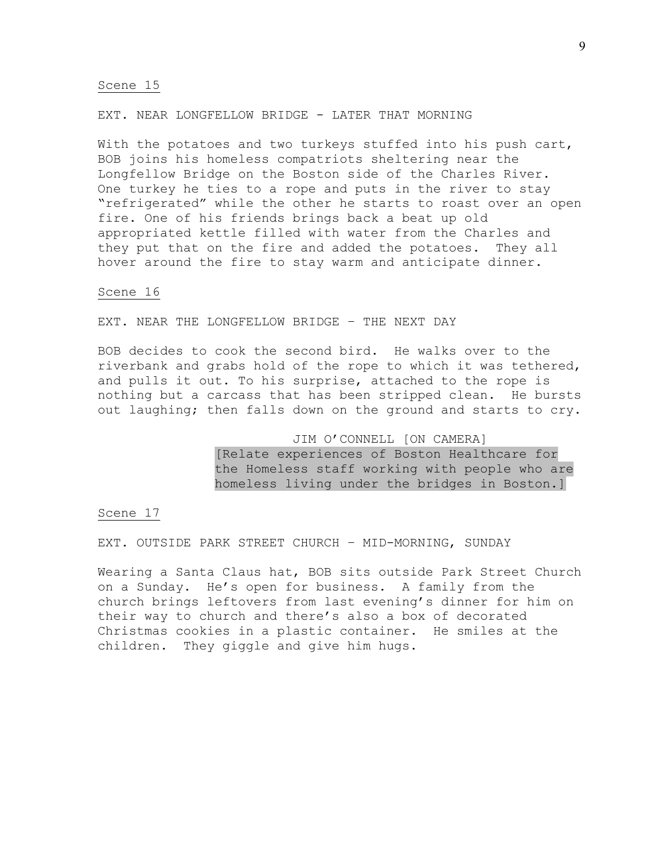## EXT. NEAR LONGFELLOW BRIDGE - LATER THAT MORNING

With the potatoes and two turkeys stuffed into his push cart, BOB joins his homeless compatriots sheltering near the Longfellow Bridge on the Boston side of the Charles River. One turkey he ties to a rope and puts in the river to stay "refrigerated" while the other he starts to roast over an open fire. One of his friends brings back a beat up old appropriated kettle filled with water from the Charles and they put that on the fire and added the potatoes. They all hover around the fire to stay warm and anticipate dinner.

# Scene 16

EXT. NEAR THE LONGFELLOW BRIDGE – THE NEXT DAY

BOB decides to cook the second bird. He walks over to the riverbank and grabs hold of the rope to which it was tethered, and pulls it out. To his surprise, attached to the rope is nothing but a carcass that has been stripped clean. He bursts out laughing; then falls down on the ground and starts to cry.

# JIM O'CONNELL [ON CAMERA] [Relate experiences of Boston Healthcare for the Homeless staff working with people who are homeless living under the bridges in Boston.]

# Scene 17

EXT. OUTSIDE PARK STREET CHURCH – MID-MORNING, SUNDAY

Wearing a Santa Claus hat, BOB sits outside Park Street Church on a Sunday. He's open for business. A family from the church brings leftovers from last evening's dinner for him on their way to church and there's also a box of decorated Christmas cookies in a plastic container. He smiles at the children. They giggle and give him hugs.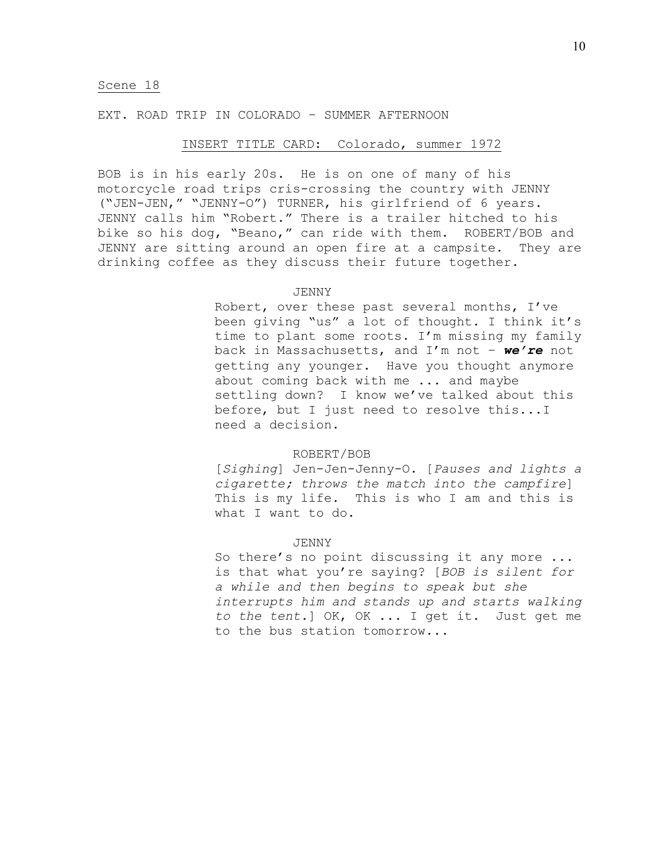## EXT. ROAD TRIP IN COLORADO – SUMMER AFTERNOON

## INSERT TITLE CARD: Colorado, summer 1972

BOB is in his early 20s. He is on one of many of his motorcycle road trips cris-crossing the country with JENNY ("JEN-JEN," "JENNY-O") TURNER, his girlfriend of 6 years. JENNY calls him "Robert." There is a trailer hitched to his bike so his dog, "Beano," can ride with them. ROBERT/BOB and JENNY are sitting around an open fire at a campsite. They are drinking coffee as they discuss their future together.

## JENNY

Robert, over these past several months, I've been giving "us" a lot of thought. I think it's time to plant some roots. I'm missing my family back in Massachusetts, and I'm not – *we're* not getting any younger. Have you thought anymore about coming back with me ... and maybe settling down? I know we've talked about this before, but I just need to resolve this...I need a decision.

### ROBERT/BOB

[*Sighing*] Jen-Jen-Jenny-O. [*Pauses and lights a cigarette; throws the match into the campfire*] This is my life. This is who I am and this is what I want to do.

## JENNY

So there's no point discussing it any more ... is that what you're saying? [*BOB is silent for a while and then begins to speak but she interrupts him and stands up and starts walking to the tent.*] OK, OK ... I get it. Just get me to the bus station tomorrow...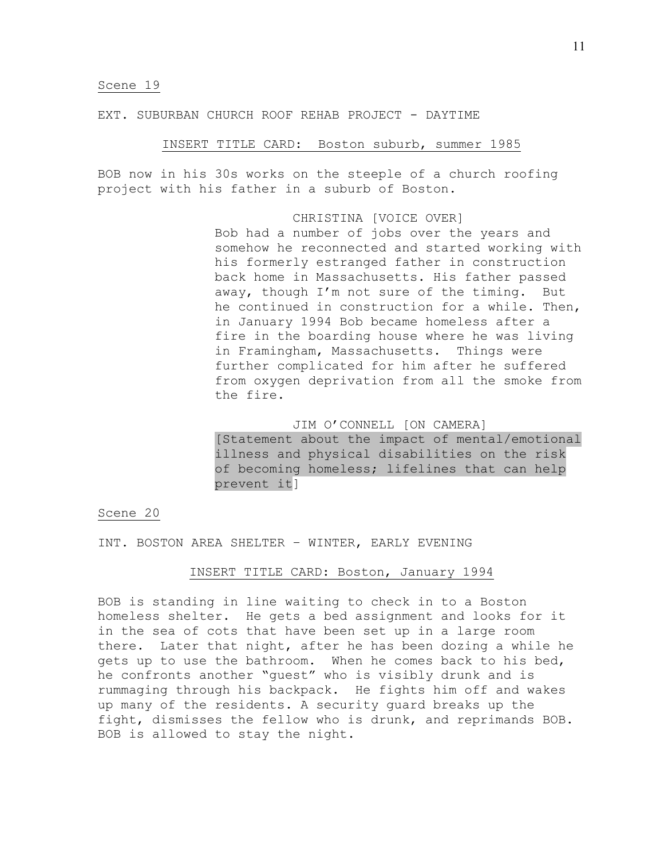### EXT. SUBURBAN CHURCH ROOF REHAB PROJECT - DAYTIME

# INSERT TITLE CARD: Boston suburb, summer 1985

BOB now in his 30s works on the steeple of a church roofing project with his father in a suburb of Boston.

## CHRISTINA [VOICE OVER]

Bob had a number of jobs over the years and somehow he reconnected and started working with his formerly estranged father in construction back home in Massachusetts. His father passed away, though I'm not sure of the timing. But he continued in construction for a while. Then, in January 1994 Bob became homeless after a fire in the boarding house where he was living in Framingham, Massachusetts. Things were further complicated for him after he suffered from oxygen deprivation from all the smoke from the fire.

# JIM O'CONNELL [ON CAMERA]

[Statement about the impact of mental/emotional illness and physical disabilities on the risk of becoming homeless; lifelines that can help prevent it]

# Scene 20

INT. BOSTON AREA SHELTER – WINTER, EARLY EVENING

## INSERT TITLE CARD: Boston, January 1994

BOB is standing in line waiting to check in to a Boston homeless shelter. He gets a bed assignment and looks for it in the sea of cots that have been set up in a large room there. Later that night, after he has been dozing a while he gets up to use the bathroom. When he comes back to his bed, he confronts another "guest" who is visibly drunk and is rummaging through his backpack. He fights him off and wakes up many of the residents. A security guard breaks up the fight, dismisses the fellow who is drunk, and reprimands BOB. BOB is allowed to stay the night.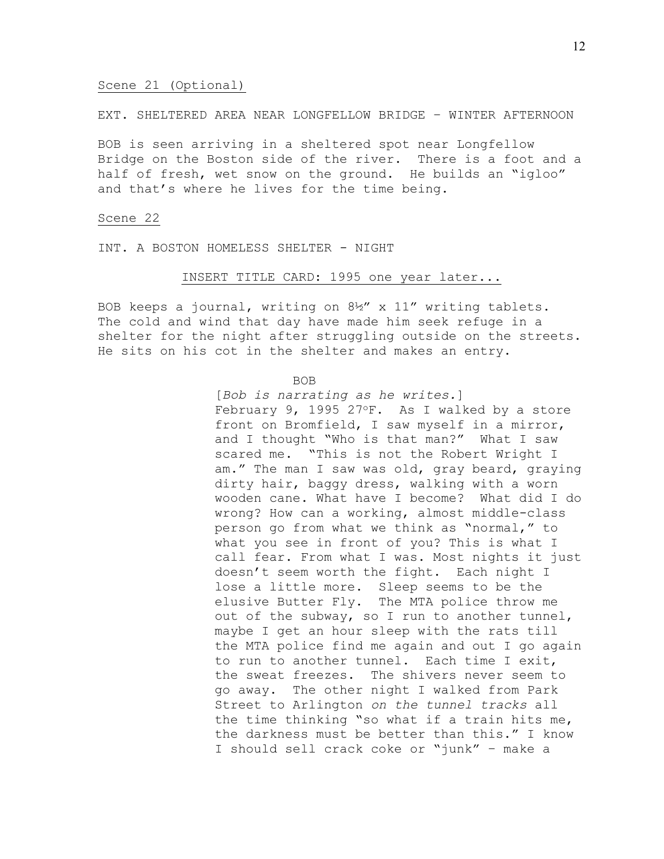## Scene 21 (Optional)

## EXT. SHELTERED AREA NEAR LONGFELLOW BRIDGE – WINTER AFTERNOON

BOB is seen arriving in a sheltered spot near Longfellow Bridge on the Boston side of the river. There is a foot and a half of fresh, wet snow on the ground. He builds an "igloo" and that's where he lives for the time being.

### Scene 22

INT. A BOSTON HOMELESS SHELTER - NIGHT

## INSERT TITLE CARD: 1995 one year later...

BOB keeps a journal, writing on 8½" x 11" writing tablets. The cold and wind that day have made him seek refuge in a shelter for the night after struggling outside on the streets. He sits on his cot in the shelter and makes an entry.

### BOB

[*Bob is narrating as he writes.*] February 9, 1995 27°F. As I walked by a store front on Bromfield, I saw myself in a mirror, and I thought "Who is that man?" What I saw scared me. "This is not the Robert Wright I am." The man I saw was old, gray beard, graying dirty hair, baggy dress, walking with a worn wooden cane. What have I become? What did I do wrong? How can a working, almost middle-class person go from what we think as "normal," to what you see in front of you? This is what I call fear. From what I was. Most nights it just doesn't seem worth the fight. Each night I lose a little more. Sleep seems to be the elusive Butter Fly. The MTA police throw me out of the subway, so I run to another tunnel, maybe I get an hour sleep with the rats till the MTA police find me again and out I go again to run to another tunnel. Each time I exit, the sweat freezes. The shivers never seem to go away. The other night I walked from Park Street to Arlington *on the tunnel tracks* all the time thinking "so what if a train hits me, the darkness must be better than this." I know I should sell crack coke or "junk" – make a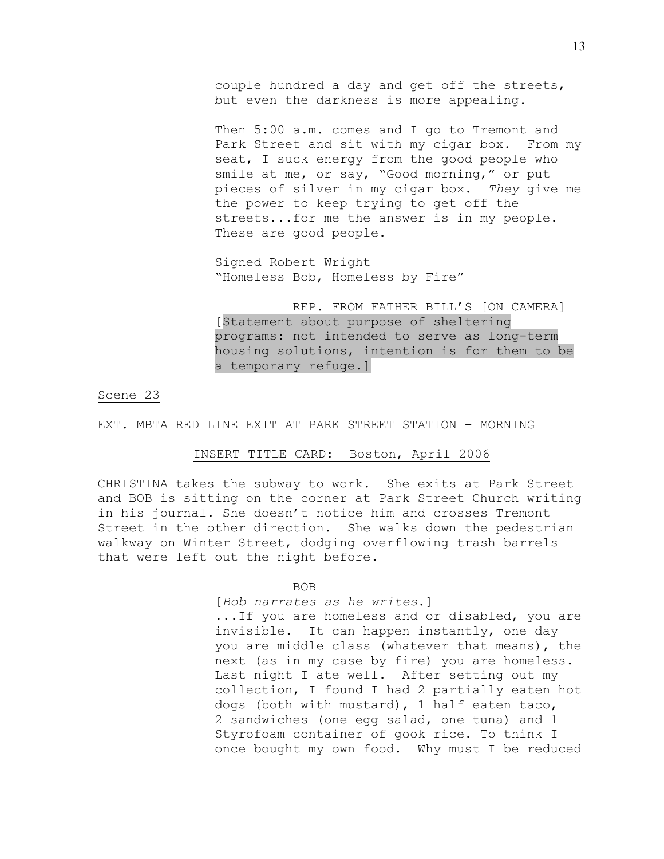couple hundred a day and get off the streets, but even the darkness is more appealing.

Then 5:00 a.m. comes and I go to Tremont and Park Street and sit with my cigar box. From my seat, I suck energy from the good people who smile at me, or say, "Good morning," or put pieces of silver in my cigar box. *They* give me the power to keep trying to get off the streets...for me the answer is in my people. These are good people.

Signed Robert Wright "Homeless Bob, Homeless by Fire"

REP. FROM FATHER BILL'S [ON CAMERA] [Statement about purpose of sheltering programs: not intended to serve as long-term housing solutions, intention is for them to be a temporary refuge.]

Scene 23

EXT. MBTA RED LINE EXIT AT PARK STREET STATION – MORNING

## INSERT TITLE CARD: Boston, April 2006

CHRISTINA takes the subway to work. She exits at Park Street and BOB is sitting on the corner at Park Street Church writing in his journal. She doesn't notice him and crosses Tremont Street in the other direction. She walks down the pedestrian walkway on Winter Street, dodging overflowing trash barrels that were left out the night before.

### BOB

[*Bob narrates as he writes*.]

...If you are homeless and or disabled, you are invisible. It can happen instantly, one day you are middle class (whatever that means), the next (as in my case by fire) you are homeless. Last night I ate well. After setting out my collection, I found I had 2 partially eaten hot dogs (both with mustard), 1 half eaten taco, 2 sandwiches (one egg salad, one tuna) and 1 Styrofoam container of gook rice. To think I once bought my own food. Why must I be reduced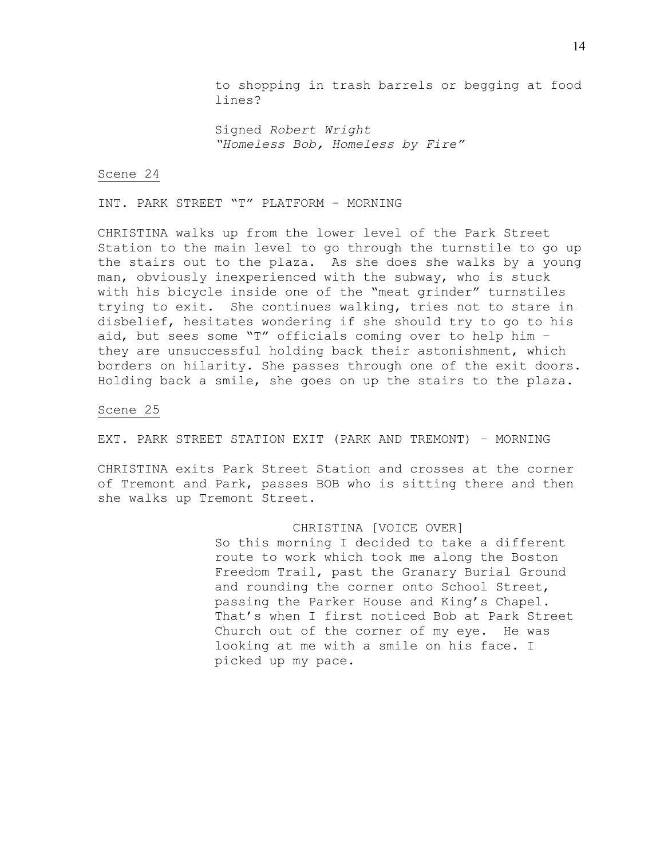to shopping in trash barrels or begging at food lines?

Signed *Robert Wright "Homeless Bob, Homeless by Fire"*

### Scene 24

INT. PARK STREET "T" PLATFORM - MORNING

CHRISTINA walks up from the lower level of the Park Street Station to the main level to go through the turnstile to go up the stairs out to the plaza. As she does she walks by a young man, obviously inexperienced with the subway, who is stuck with his bicycle inside one of the "meat grinder" turnstiles trying to exit. She continues walking, tries not to stare in disbelief, hesitates wondering if she should try to go to his aid, but sees some "T" officials coming over to help him – they are unsuccessful holding back their astonishment, which borders on hilarity. She passes through one of the exit doors. Holding back a smile, she goes on up the stairs to the plaza.

# Scene 25

EXT. PARK STREET STATION EXIT (PARK AND TREMONT) – MORNING

CHRISTINA exits Park Street Station and crosses at the corner of Tremont and Park, passes BOB who is sitting there and then she walks up Tremont Street.

## CHRISTINA [VOICE OVER]

So this morning I decided to take a different route to work which took me along the Boston Freedom Trail, past the Granary Burial Ground and rounding the corner onto School Street, passing the Parker House and King's Chapel. That's when I first noticed Bob at Park Street Church out of the corner of my eye. He was looking at me with a smile on his face. I picked up my pace.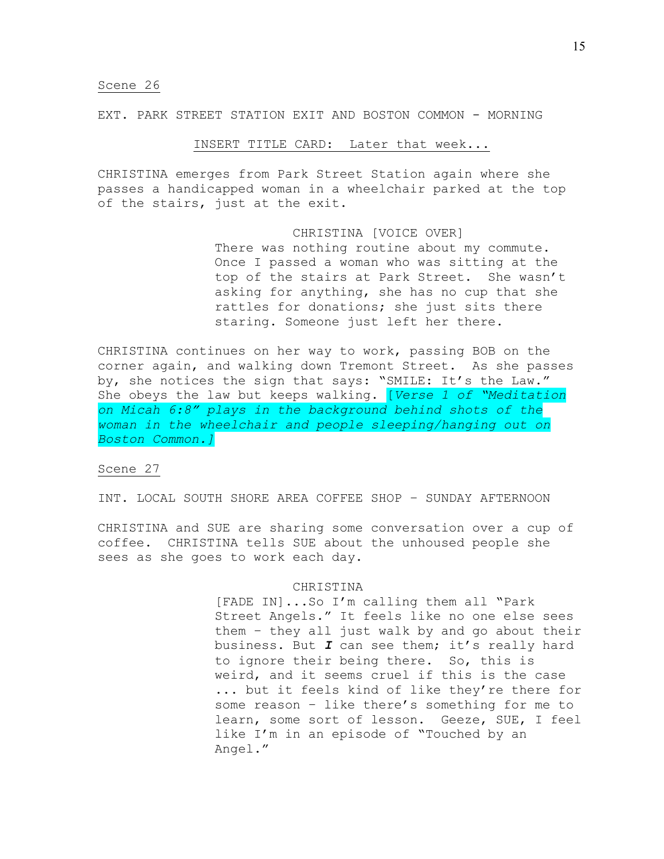EXT. PARK STREET STATION EXIT AND BOSTON COMMON - MORNING

# INSERT TITLE CARD: Later that week...

CHRISTINA emerges from Park Street Station again where she passes a handicapped woman in a wheelchair parked at the top of the stairs, just at the exit.

# CHRISTINA [VOICE OVER]

There was nothing routine about my commute. Once I passed a woman who was sitting at the top of the stairs at Park Street. She wasn't asking for anything, she has no cup that she rattles for donations; she just sits there staring. Someone just left her there.

CHRISTINA continues on her way to work, passing BOB on the corner again, and walking down Tremont Street. As she passes by, she notices the sign that says: "SMILE: It's the Law." She obeys the law but keeps walking. [*Verse 1 of "Meditation on Micah 6:8" plays in the background behind shots of the woman in the wheelchair and people sleeping/hanging out on Boston Common.]*

## Scene 27

INT. LOCAL SOUTH SHORE AREA COFFEE SHOP – SUNDAY AFTERNOON

CHRISTINA and SUE are sharing some conversation over a cup of coffee. CHRISTINA tells SUE about the unhoused people she sees as she goes to work each day.

### CHRISTINA

[FADE IN]...So I'm calling them all "Park Street Angels." It feels like no one else sees them – they all just walk by and go about their business. But *I* can see them; it's really hard to ignore their being there. So, this is weird, and it seems cruel if this is the case ... but it feels kind of like they're there for some reason – like there's something for me to learn, some sort of lesson. Geeze, SUE, I feel like I'm in an episode of "Touched by an Angel."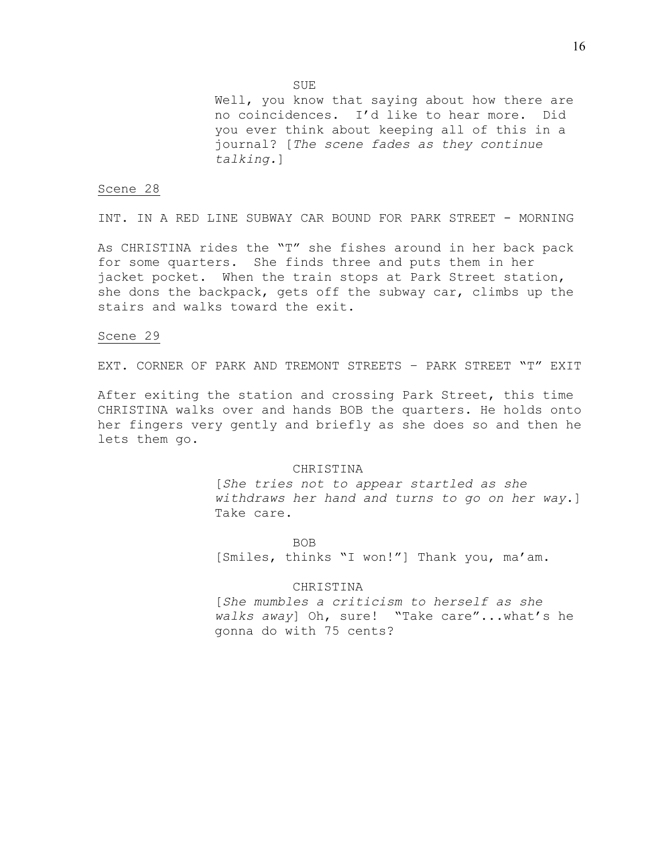Well, you know that saying about how there are no coincidences. I'd like to hear more. Did you ever think about keeping all of this in a journal? [*The scene fades as they continue talking.*]

## Scene 28

INT. IN A RED LINE SUBWAY CAR BOUND FOR PARK STREET - MORNING

As CHRISTINA rides the "T" she fishes around in her back pack for some quarters. She finds three and puts them in her jacket pocket. When the train stops at Park Street station, she dons the backpack, gets off the subway car, climbs up the stairs and walks toward the exit.

## Scene 29

EXT. CORNER OF PARK AND TREMONT STREETS – PARK STREET "T" EXIT

After exiting the station and crossing Park Street, this time CHRISTINA walks over and hands BOB the quarters. He holds onto her fingers very gently and briefly as she does so and then he lets them go.

## CHRISTINA

[*She tries not to appear startled as she withdraws her hand and turns to go on her way*.] Take care.

BOB

[Smiles, thinks "I won!"] Thank you, ma'am.

CHRISTINA

[*She mumbles a criticism to herself as she walks away*] Oh, sure! "Take care"...what's he gonna do with 75 cents?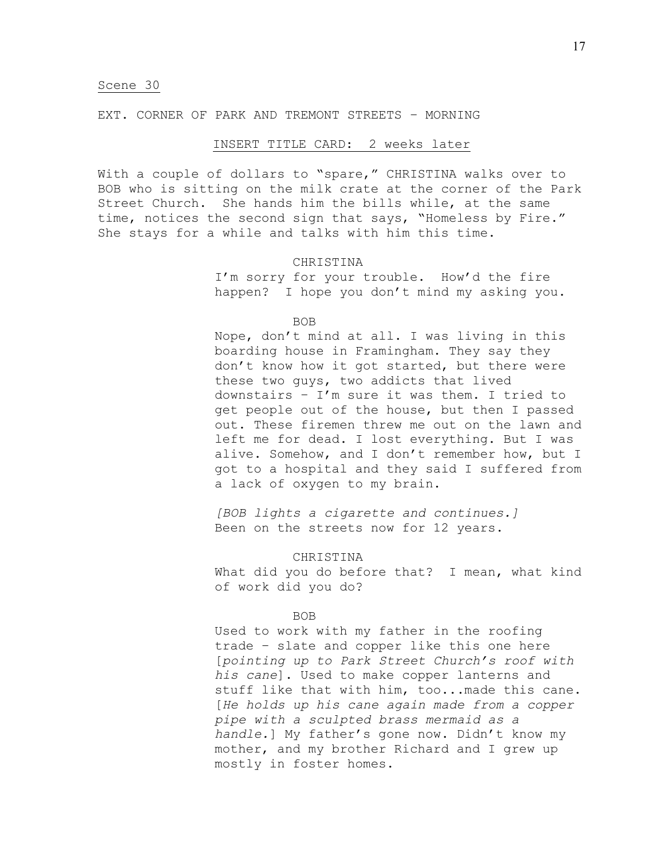## EXT. CORNER OF PARK AND TREMONT STREETS – MORNING

## INSERT TITLE CARD: 2 weeks later

With a couple of dollars to "spare," CHRISTINA walks over to BOB who is sitting on the milk crate at the corner of the Park Street Church. She hands him the bills while, at the same time, notices the second sign that says, "Homeless by Fire." She stays for a while and talks with him this time.

# CHRISTINA

I'm sorry for your trouble. How'd the fire happen? I hope you don't mind my asking you.

BOB

Nope, don't mind at all. I was living in this boarding house in Framingham. They say they don't know how it got started, but there were these two guys, two addicts that lived downstairs – I'm sure it was them. I tried to get people out of the house, but then I passed out. These firemen threw me out on the lawn and left me for dead. I lost everything. But I was alive. Somehow, and I don't remember how, but I got to a hospital and they said I suffered from a lack of oxygen to my brain.

*[BOB lights a cigarette and continues.]* Been on the streets now for 12 years.

## CHRISTINA

What did you do before that? I mean, what kind of work did you do?

## BOB

Used to work with my father in the roofing trade – slate and copper like this one here [*pointing up to Park Street Church's roof with his cane*]. Used to make copper lanterns and stuff like that with him, too...made this cane. [*He holds up his cane again made from a copper pipe with a sculpted brass mermaid as a handle.*] My father's gone now. Didn't know my mother, and my brother Richard and I grew up mostly in foster homes.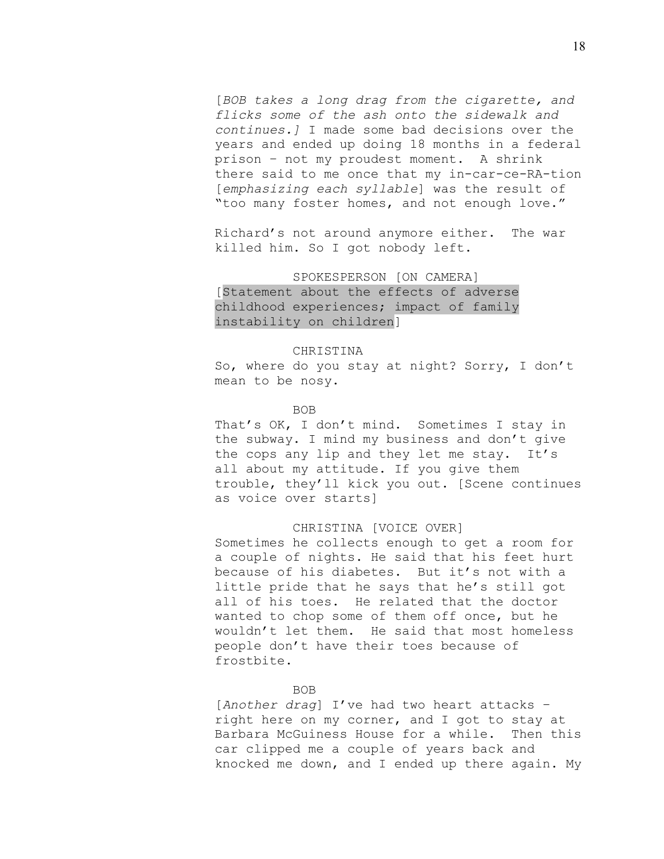[*BOB takes a long drag from the cigarette, and flicks some of the ash onto the sidewalk and continues.]* I made some bad decisions over the years and ended up doing 18 months in a federal prison – not my proudest moment. A shrink there said to me once that my in-car-ce-RA-tion [*emphasizing each syllable*] was the result of "too many foster homes, and not enough love."

Richard's not around anymore either. The war killed him. So I got nobody left.

SPOKESPERSON [ON CAMERA] [Statement about the effects of adverse childhood experiences; impact of family instability on children]

## CHRISTINA

So, where do you stay at night? Sorry, I don't mean to be nosy.

## BOB

That's OK, I don't mind. Sometimes I stay in the subway. I mind my business and don't give the cops any lip and they let me stay. It's all about my attitude. If you give them trouble, they'll kick you out. [Scene continues as voice over starts]

## CHRISTINA [VOICE OVER]

Sometimes he collects enough to get a room for a couple of nights. He said that his feet hurt because of his diabetes. But it's not with a little pride that he says that he's still got all of his toes. He related that the doctor wanted to chop some of them off once, but he wouldn't let them. He said that most homeless people don't have their toes because of frostbite.

### BOB

[*Another drag*] I've had two heart attacks – right here on my corner, and I got to stay at Barbara McGuiness House for a while. Then this car clipped me a couple of years back and knocked me down, and I ended up there again. My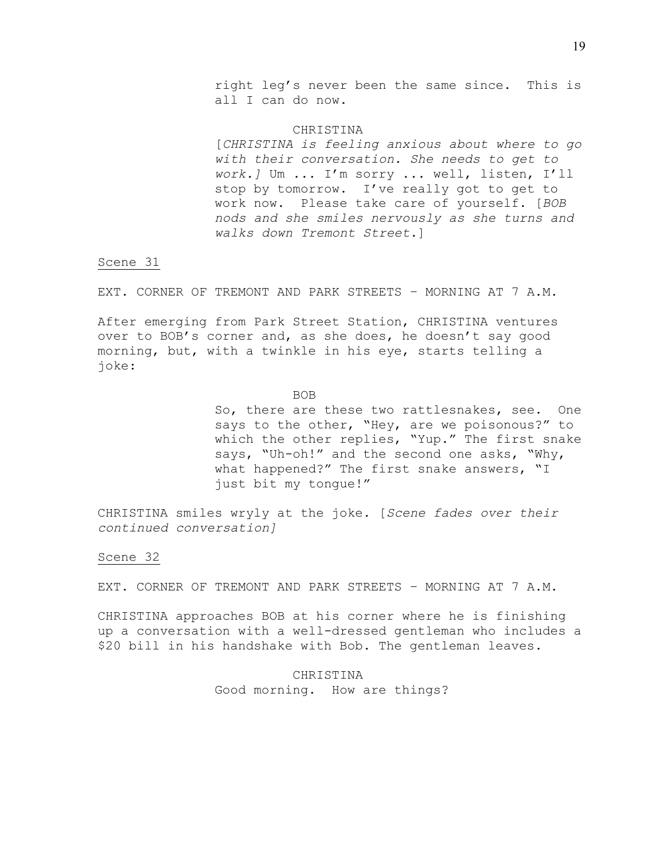right leg's never been the same since. This is all I can do now.

#### **CHRISTINA**

[*CHRISTINA is feeling anxious about where to go with their conversation. She needs to get to work.]* Um ... I'm sorry ... well, listen, I'll stop by tomorrow. I've really got to get to work now. Please take care of yourself. [*BOB nods and she smiles nervously as she turns and walks down Tremont Street.*]

# Scene 31

EXT. CORNER OF TREMONT AND PARK STREETS – MORNING AT 7 A.M.

After emerging from Park Street Station, CHRISTINA ventures over to BOB's corner and, as she does, he doesn't say good morning, but, with a twinkle in his eye, starts telling a joke:

## BOB

So, there are these two rattlesnakes, see. One says to the other, "Hey, are we poisonous?" to which the other replies, "Yup." The first snake says, "Uh-oh!" and the second one asks, "Why, what happened?" The first snake answers, "I just bit my tongue!"

CHRISTINA smiles wryly at the joke. [*Scene fades over their continued conversation]*

### Scene 32

EXT. CORNER OF TREMONT AND PARK STREETS – MORNING AT 7 A.M.

CHRISTINA approaches BOB at his corner where he is finishing up a conversation with a well-dressed gentleman who includes a \$20 bill in his handshake with Bob. The gentleman leaves.

> CHRISTINA Good morning. How are things?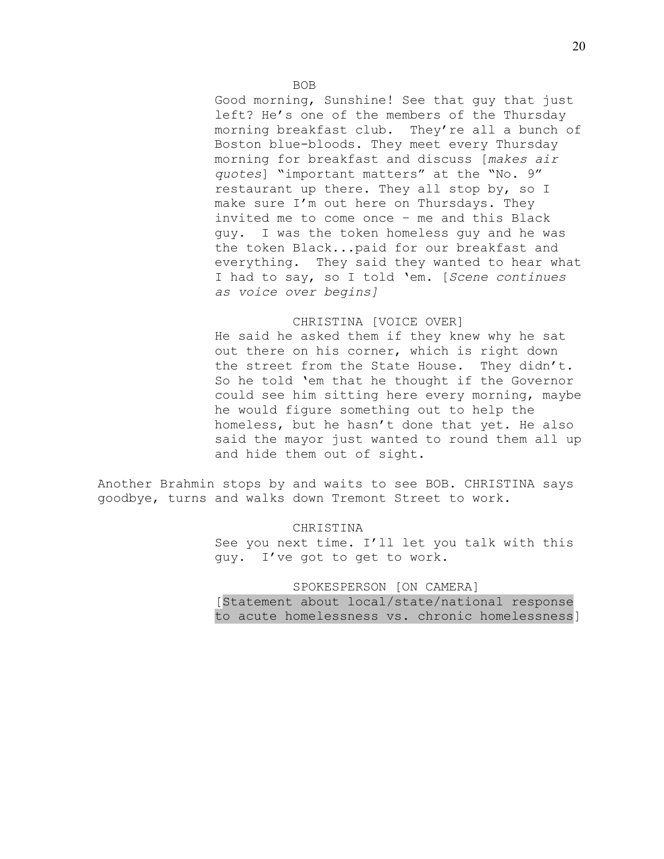Good morning, Sunshine! See that guy that just left? He's one of the members of the Thursday morning breakfast club. They're all a bunch of Boston blue-bloods. They meet every Thursday morning for breakfast and discuss [*makes air quotes*] "important matters" at the "No. 9" restaurant up there. They all stop by, so I make sure I'm out here on Thursdays. They invited me to come once – me and this Black guy. I was the token homeless guy and he was the token Black...paid for our breakfast and everything. They said they wanted to hear what I had to say, so I told 'em. [*Scene continues as voice over begins]*

# CHRISTINA [VOICE OVER]

He said he asked them if they knew why he sat out there on his corner, which is right down the street from the State House. They didn't. So he told 'em that he thought if the Governor could see him sitting here every morning, maybe he would figure something out to help the homeless, but he hasn't done that yet. He also said the mayor just wanted to round them all up and hide them out of sight.

Another Brahmin stops by and waits to see BOB. CHRISTINA says goodbye, turns and walks down Tremont Street to work.

CHRISTINA

See you next time. I'll let you talk with this guy. I've got to get to work.

SPOKESPERSON [ON CAMERA]

[Statement about local/state/national response to acute homelessness vs. chronic homelessness]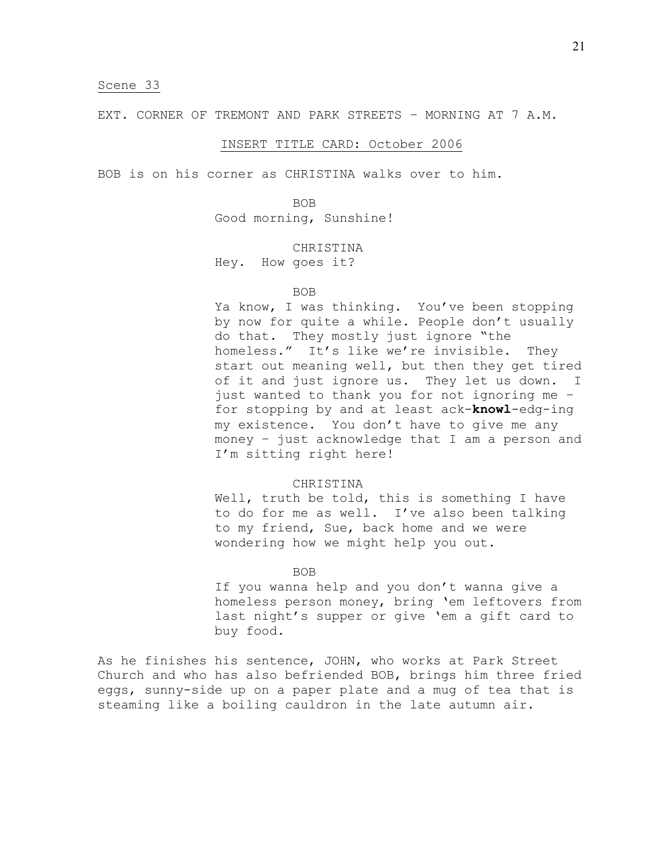EXT. CORNER OF TREMONT AND PARK STREETS – MORNING AT 7 A.M.

## INSERT TITLE CARD: October 2006

BOB is on his corner as CHRISTINA walks over to him.

BOB Good morning, Sunshine!

#### CHRISTINA

Hey. How goes it?

#### BOB

Ya know, I was thinking. You've been stopping by now for quite a while. People don't usually do that. They mostly just ignore "the homeless." It's like we're invisible. They start out meaning well, but then they get tired of it and just ignore us. They let us down. I just wanted to thank you for not ignoring me – for stopping by and at least ack-**knowl**-edg-ing my existence. You don't have to give me any money – just acknowledge that I am a person and I'm sitting right here!

### CHRISTINA

Well, truth be told, this is something I have to do for me as well. I've also been talking to my friend, Sue, back home and we were wondering how we might help you out.

#### BOB

If you wanna help and you don't wanna give a homeless person money, bring 'em leftovers from last night's supper or give 'em a gift card to buy food.

As he finishes his sentence, JOHN, who works at Park Street Church and who has also befriended BOB, brings him three fried eggs, sunny-side up on a paper plate and a mug of tea that is steaming like a boiling cauldron in the late autumn air.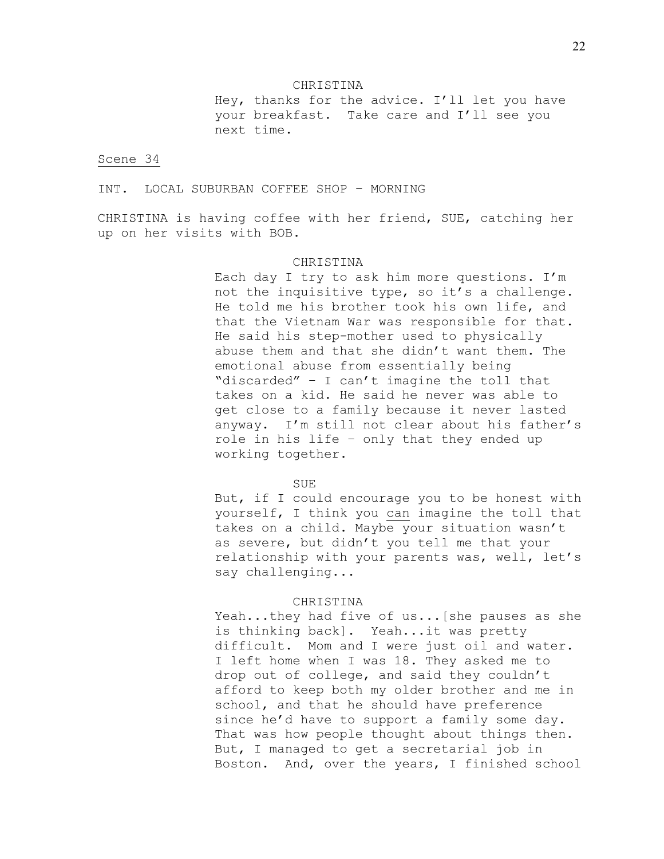### CHRISTINA

Hey, thanks for the advice. I'll let you have your breakfast. Take care and I'll see you next time.

## Scene 34

INT. LOCAL SUBURBAN COFFEE SHOP – MORNING

CHRISTINA is having coffee with her friend, SUE, catching her up on her visits with BOB.

# CHRISTINA

Each day I try to ask him more questions. I'm not the inquisitive type, so it's a challenge. He told me his brother took his own life, and that the Vietnam War was responsible for that. He said his step-mother used to physically abuse them and that she didn't want them. The emotional abuse from essentially being "discarded" – I can't imagine the toll that takes on a kid. He said he never was able to get close to a family because it never lasted anyway. I'm still not clear about his father's role in his life – only that they ended up working together.

#### SUE

But, if I could encourage you to be honest with yourself, I think you can imagine the toll that takes on a child. Maybe your situation wasn't as severe, but didn't you tell me that your relationship with your parents was, well, let's say challenging...

## CHRISTINA

Yeah...they had five of us...[she pauses as she is thinking back]. Yeah...it was pretty difficult. Mom and I were just oil and water. I left home when I was 18. They asked me to drop out of college, and said they couldn't afford to keep both my older brother and me in school, and that he should have preference since he'd have to support a family some day. That was how people thought about things then. But, I managed to get a secretarial job in Boston. And, over the years, I finished school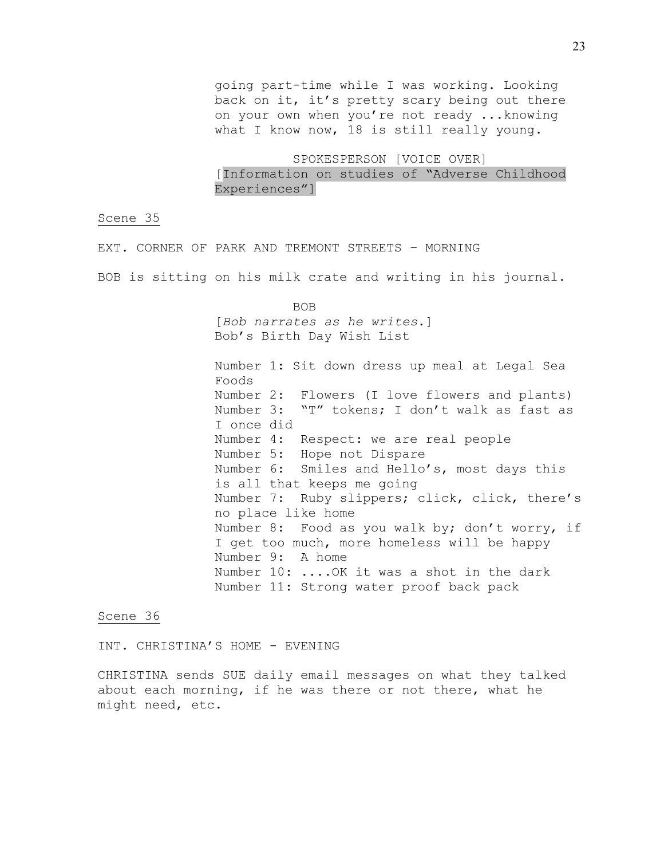going part-time while I was working. Looking back on it, it's pretty scary being out there on your own when you're not ready ...knowing what I know now, 18 is still really young.

SPOKESPERSON [VOICE OVER] [Information on studies of "Adverse Childhood Experiences"]

Scene 35

EXT. CORNER OF PARK AND TREMONT STREETS – MORNING

BOB is sitting on his milk crate and writing in his journal.

BOB [*Bob narrates as he writes*.] Bob's Birth Day Wish List

Number 1: Sit down dress up meal at Legal Sea Foods Number 2: Flowers (I love flowers and plants) Number 3: "T" tokens; I don't walk as fast as I once did Number 4: Respect: we are real people Number 5: Hope not Dispare Number 6: Smiles and Hello's, most days this is all that keeps me going Number 7: Ruby slippers; click, click, there's no place like home Number 8: Food as you walk by; don't worry, if I get too much, more homeless will be happy Number 9: A home Number 10: ....OK it was a shot in the dark Number 11: Strong water proof back pack

Scene 36

INT. CHRISTINA'S HOME - EVENING

CHRISTINA sends SUE daily email messages on what they talked about each morning, if he was there or not there, what he might need, etc.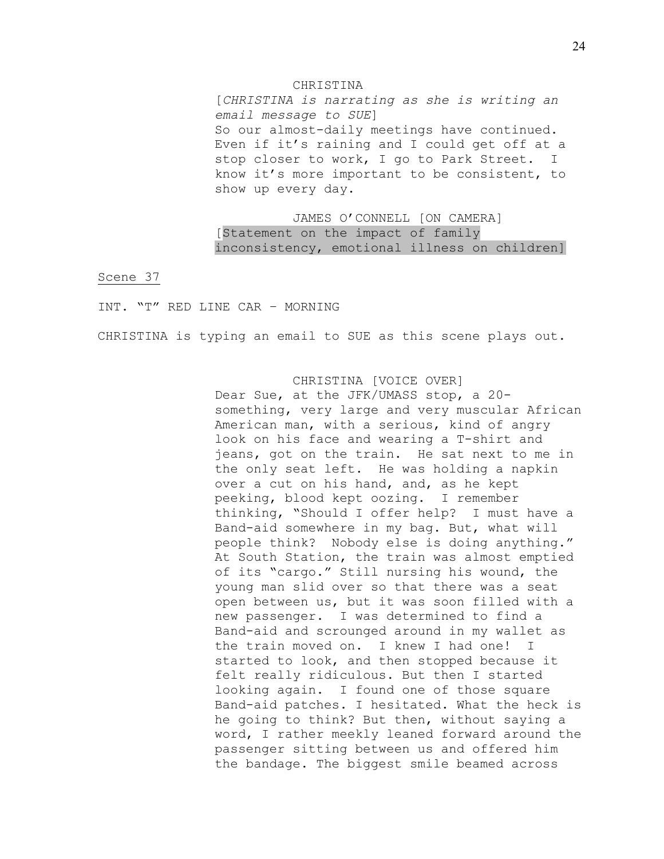#### CHRISTINA

[*CHRISTINA is narrating as she is writing an email message to SUE*] So our almost-daily meetings have continued. Even if it's raining and I could get off at a stop closer to work, I go to Park Street. I know it's more important to be consistent, to show up every day.

JAMES O'CONNELL [ON CAMERA] [Statement on the impact of family inconsistency, emotional illness on children]

Scene 37

INT. "T" RED LINE CAR – MORNING

CHRISTINA is typing an email to SUE as this scene plays out.

# CHRISTINA [VOICE OVER]

Dear Sue, at the JFK/UMASS stop, a 20 something, very large and very muscular African American man, with a serious, kind of angry look on his face and wearing a T-shirt and jeans, got on the train. He sat next to me in the only seat left. He was holding a napkin over a cut on his hand, and, as he kept peeking, blood kept oozing. I remember thinking, "Should I offer help? I must have a Band-aid somewhere in my bag. But, what will people think? Nobody else is doing anything." At South Station, the train was almost emptied of its "cargo." Still nursing his wound, the young man slid over so that there was a seat open between us, but it was soon filled with a new passenger. I was determined to find a Band-aid and scrounged around in my wallet as the train moved on. I knew I had one! I started to look, and then stopped because it felt really ridiculous. But then I started looking again. I found one of those square Band-aid patches. I hesitated. What the heck is he going to think? But then, without saying a word, I rather meekly leaned forward around the passenger sitting between us and offered him the bandage. The biggest smile beamed across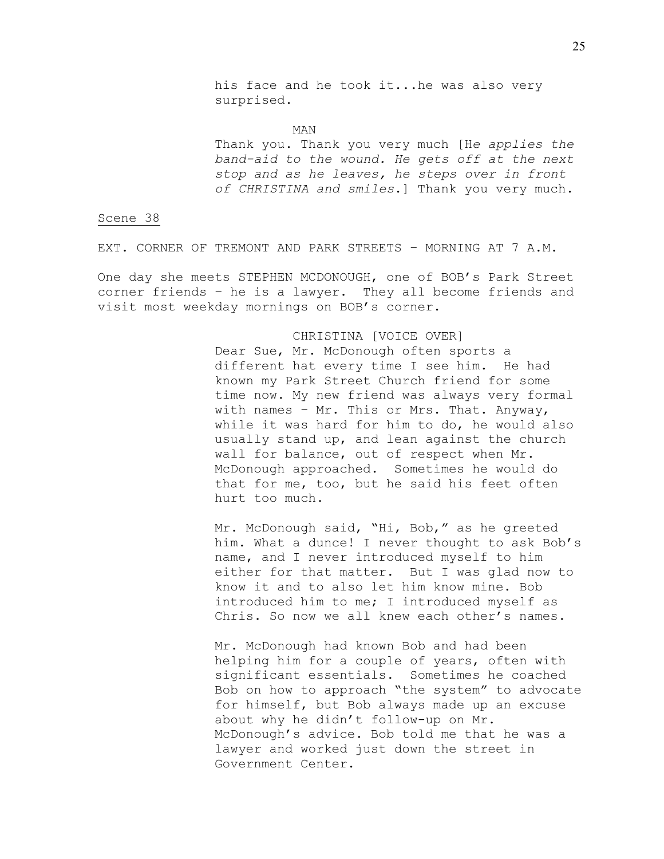his face and he took it...he was also very surprised.

MAN Thank you. Thank you very much [H*e applies the band-aid to the wound. He gets off at the next stop and as he leaves, he steps over in front of CHRISTINA and smiles*.] Thank you very much.

Scene 38

EXT. CORNER OF TREMONT AND PARK STREETS – MORNING AT 7 A.M.

One day she meets STEPHEN MCDONOUGH, one of BOB's Park Street corner friends – he is a lawyer. They all become friends and visit most weekday mornings on BOB's corner.

CHRISTINA [VOICE OVER]

Dear Sue, Mr. McDonough often sports a different hat every time I see him. He had known my Park Street Church friend for some time now. My new friend was always very formal with names – Mr. This or Mrs. That. Anyway, while it was hard for him to do, he would also usually stand up, and lean against the church wall for balance, out of respect when Mr. McDonough approached. Sometimes he would do that for me, too, but he said his feet often hurt too much.

Mr. McDonough said, "Hi, Bob," as he greeted him. What a dunce! I never thought to ask Bob's name, and I never introduced myself to him either for that matter. But I was glad now to know it and to also let him know mine. Bob introduced him to me; I introduced myself as Chris. So now we all knew each other's names.

Mr. McDonough had known Bob and had been helping him for a couple of years, often with significant essentials. Sometimes he coached Bob on how to approach "the system" to advocate for himself, but Bob always made up an excuse about why he didn't follow-up on Mr. McDonough's advice. Bob told me that he was a lawyer and worked just down the street in Government Center.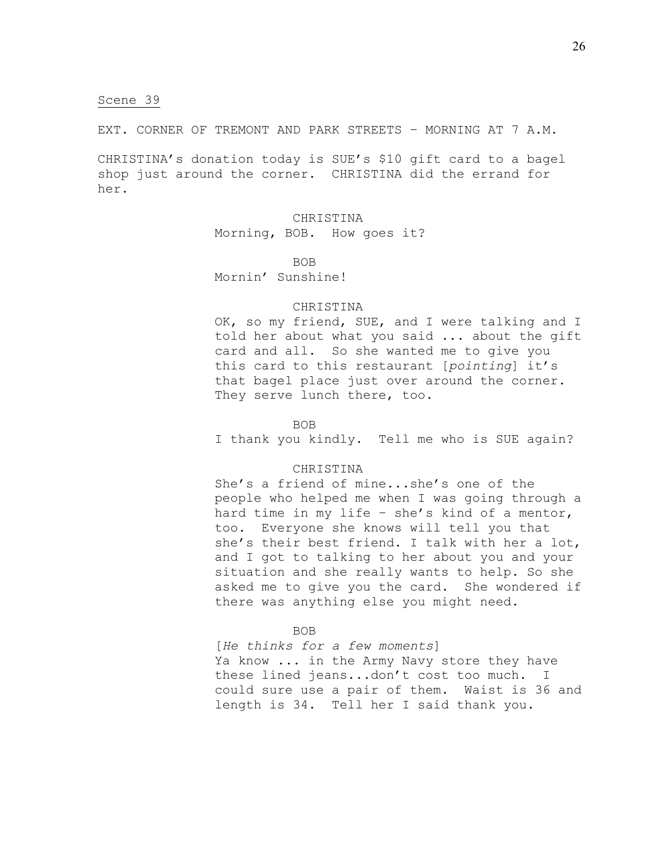EXT. CORNER OF TREMONT AND PARK STREETS – MORNING AT 7 A.M.

CHRISTINA's donation today is SUE's \$10 gift card to a bagel shop just around the corner. CHRISTINA did the errand for her.

> CHRISTINA Morning, BOB. How goes it?

> > BOB

Mornin' Sunshine!

## CHRISTINA

OK, so my friend, SUE, and I were talking and I told her about what you said ... about the gift card and all. So she wanted me to give you this card to this restaurant [*pointing*] it's that bagel place just over around the corner. They serve lunch there, too.

BOB

I thank you kindly. Tell me who is SUE again?

# CHRISTINA

She's a friend of mine...she's one of the people who helped me when I was going through a hard time in my life – she's kind of a mentor, too. Everyone she knows will tell you that she's their best friend. I talk with her a lot, and I got to talking to her about you and your situation and she really wants to help. So she asked me to give you the card. She wondered if there was anything else you might need.

BOB

[*He thinks for a few moments*] Ya know ... in the Army Navy store they have these lined jeans...don't cost too much. I could sure use a pair of them. Waist is 36 and length is 34. Tell her I said thank you.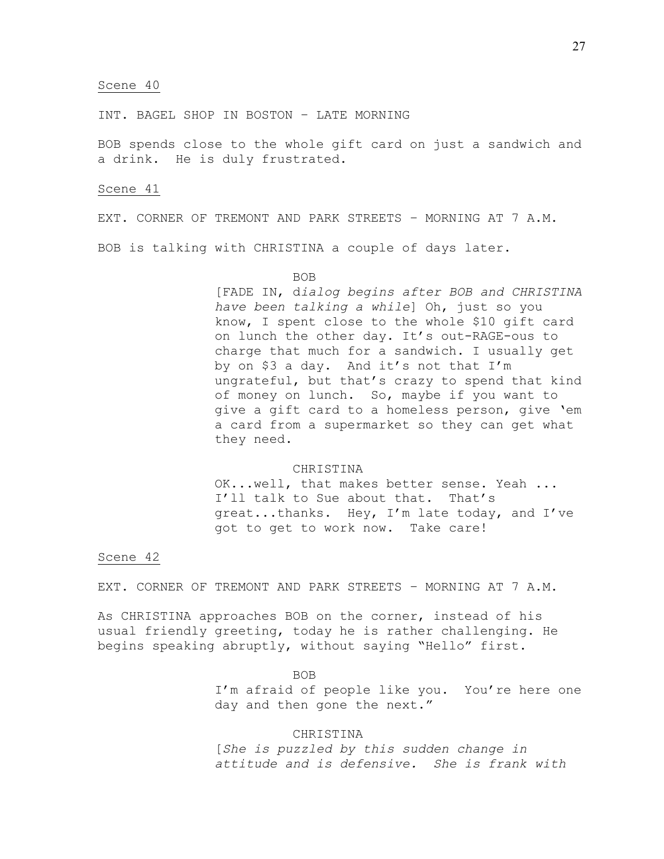INT. BAGEL SHOP IN BOSTON – LATE MORNING

BOB spends close to the whole gift card on just a sandwich and a drink. He is duly frustrated.

## Scene 41

EXT. CORNER OF TREMONT AND PARK STREETS – MORNING AT 7 A.M.

BOB is talking with CHRISTINA a couple of days later.

## BOB

[FADE IN, d*ialog begins after BOB and CHRISTINA have been talking a while*] Oh, just so you know, I spent close to the whole \$10 gift card on lunch the other day. It's out-RAGE-ous to charge that much for a sandwich. I usually get by on \$3 a day. And it's not that I'm ungrateful, but that's crazy to spend that kind of money on lunch. So, maybe if you want to give a gift card to a homeless person, give 'em a card from a supermarket so they can get what they need.

# CHRISTINA

OK...well, that makes better sense. Yeah ... I'll talk to Sue about that. That's great...thanks. Hey, I'm late today, and I've got to get to work now. Take care!

# Scene 42

EXT. CORNER OF TREMONT AND PARK STREETS – MORNING AT 7 A.M.

As CHRISTINA approaches BOB on the corner, instead of his usual friendly greeting, today he is rather challenging. He begins speaking abruptly, without saying "Hello" first.

BOB

I'm afraid of people like you. You're here one day and then gone the next."

## CHRISTINA

[*She is puzzled by this sudden change in attitude and is defensive. She is frank with*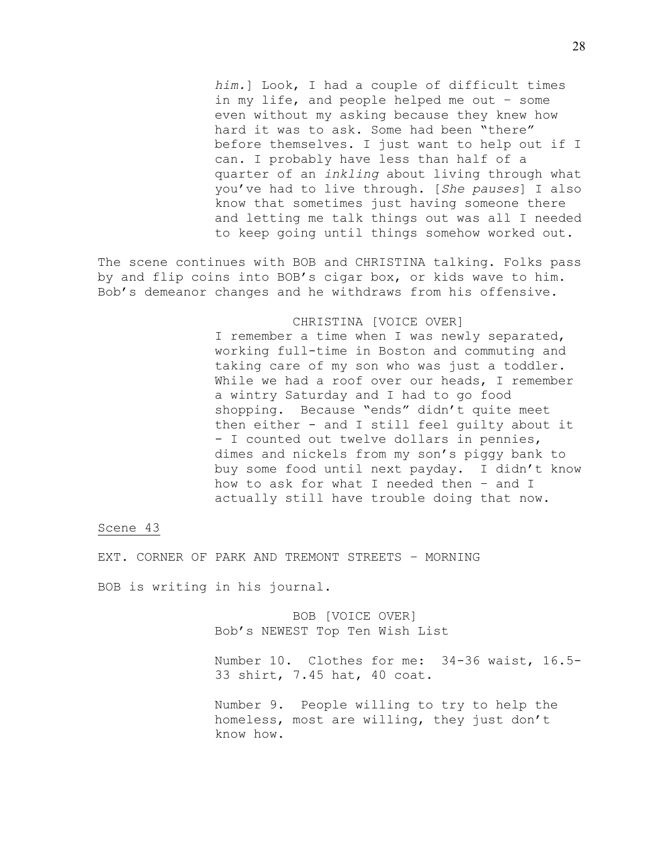*him.*] Look, I had a couple of difficult times in my life, and people helped me out – some even without my asking because they knew how hard it was to ask. Some had been "there" before themselves. I just want to help out if I can. I probably have less than half of a quarter of an *inkling* about living through what you've had to live through. [*She pauses*] I also know that sometimes just having someone there and letting me talk things out was all I needed to keep going until things somehow worked out.

The scene continues with BOB and CHRISTINA talking. Folks pass by and flip coins into BOB's cigar box, or kids wave to him. Bob's demeanor changes and he withdraws from his offensive.

# CHRISTINA [VOICE OVER]

I remember a time when I was newly separated, working full-time in Boston and commuting and taking care of my son who was just a toddler. While we had a roof over our heads, I remember a wintry Saturday and I had to go food shopping. Because "ends" didn't quite meet then either - and I still feel guilty about it - I counted out twelve dollars in pennies, dimes and nickels from my son's piggy bank to buy some food until next payday. I didn't know how to ask for what I needed then – and I actually still have trouble doing that now.

### Scene 43

EXT. CORNER OF PARK AND TREMONT STREETS – MORNING

BOB is writing in his journal.

BOB [VOICE OVER] Bob's NEWEST Top Ten Wish List

Number 10. Clothes for me: 34-36 waist, 16.5- 33 shirt, 7.45 hat, 40 coat.

Number 9. People willing to try to help the homeless, most are willing, they just don't know how.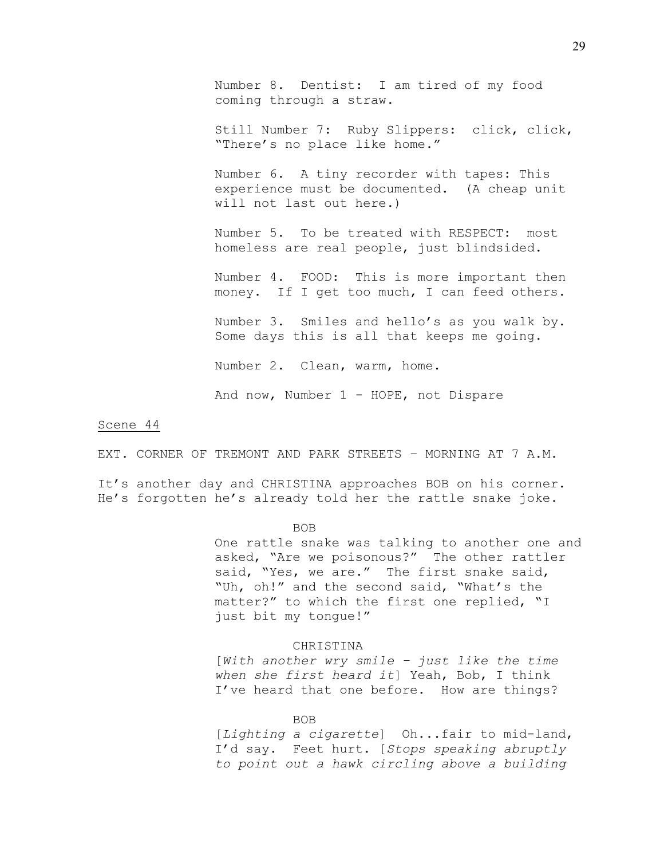Number 8. Dentist: I am tired of my food coming through a straw.

Still Number 7: Ruby Slippers: click, click, "There's no place like home."

Number 6. A tiny recorder with tapes: This experience must be documented. (A cheap unit will not last out here.)

Number 5. To be treated with RESPECT: most homeless are real people, just blindsided.

Number 4. FOOD: This is more important then money. If I get too much, I can feed others.

Number 3. Smiles and hello's as you walk by. Some days this is all that keeps me going.

Number 2. Clean, warm, home.

And now, Number 1 - HOPE, not Dispare

### Scene 44

EXT. CORNER OF TREMONT AND PARK STREETS – MORNING AT 7 A.M.

It's another day and CHRISTINA approaches BOB on his corner. He's forgotten he's already told her the rattle snake joke.

BOB

One rattle snake was talking to another one and asked, "Are we poisonous?" The other rattler said, "Yes, we are." The first snake said, "Uh, oh!" and the second said, "What's the matter?" to which the first one replied, "I just bit my tongue!"

## CHRISTINA

[*With another wry smile – just like the time when she first heard it*] Yeah, Bob, I think I've heard that one before. How are things?

BOB

[*Lighting a cigarette*] Oh...fair to mid-land, I'd say. Feet hurt. [*Stops speaking abruptly to point out a hawk circling above a building*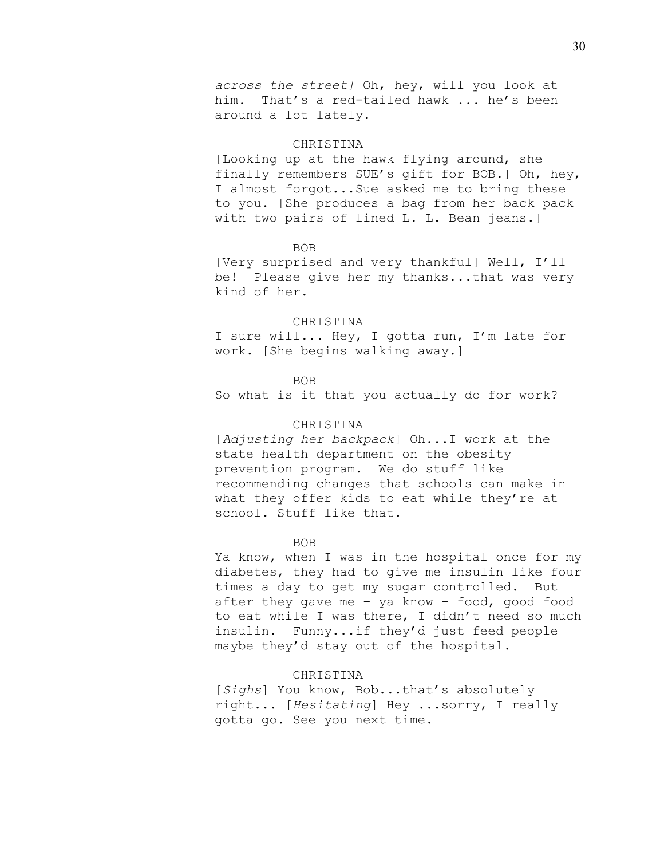### CHRISTINA

[Looking up at the hawk flying around, she finally remembers SUE's gift for BOB.] Oh, hey, I almost forgot...Sue asked me to bring these to you. [She produces a bag from her back pack with two pairs of lined L. L. Bean jeans.]

## BOB

[Very surprised and very thankful] Well, I'll be! Please give her my thanks...that was very kind of her.

#### CHRISTINA

I sure will... Hey, I gotta run, I'm late for work. [She begins walking away.]

### BOB

So what is it that you actually do for work?

# CHRISTINA

[*Adjusting her backpack*] Oh...I work at the state health department on the obesity prevention program. We do stuff like recommending changes that schools can make in what they offer kids to eat while they're at school. Stuff like that.

## BOB

Ya know, when I was in the hospital once for my diabetes, they had to give me insulin like four times a day to get my sugar controlled. But after they gave me – ya know – food, good food to eat while I was there, I didn't need so much insulin. Funny...if they'd just feed people maybe they'd stay out of the hospital.

# CHRISTINA

[*Sighs*] You know, Bob...that's absolutely right... [*Hesitating*] Hey ...sorry, I really gotta go. See you next time.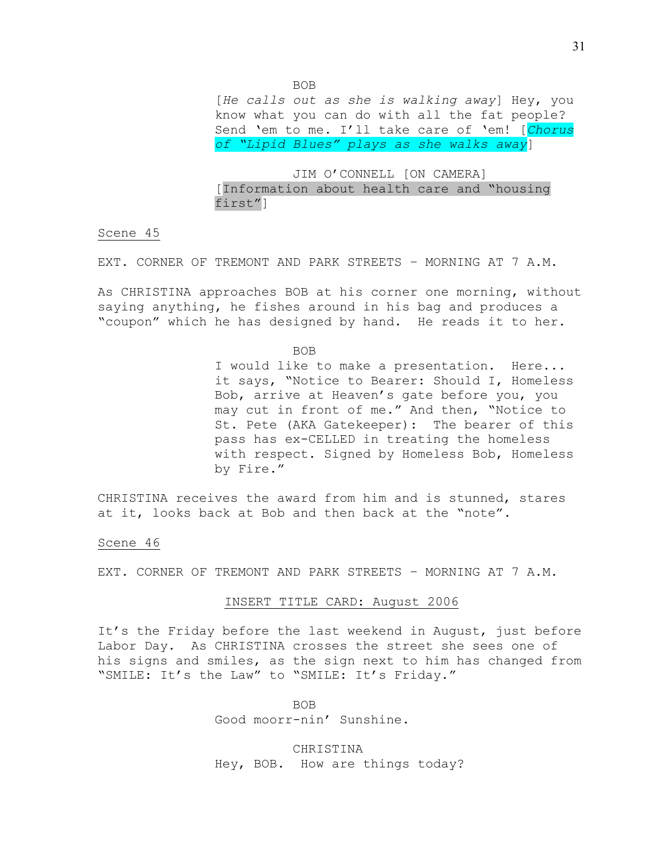BOB

[*He calls out as she is walking away*] Hey, you know what you can do with all the fat people? Send 'em to me. I'll take care of 'em! [*Chorus of "Lipid Blues" plays as she walks away*]

JIM O'CONNELL [ON CAMERA] [Information about health care and "housing first"]

# Scene 45

EXT. CORNER OF TREMONT AND PARK STREETS – MORNING AT 7 A.M.

As CHRISTINA approaches BOB at his corner one morning, without saying anything, he fishes around in his bag and produces a "coupon" which he has designed by hand. He reads it to her.

BOB

I would like to make a presentation. Here... it says, "Notice to Bearer: Should I, Homeless Bob, arrive at Heaven's gate before you, you may cut in front of me." And then, "Notice to St. Pete (AKA Gatekeeper): The bearer of this pass has ex-CELLED in treating the homeless with respect. Signed by Homeless Bob, Homeless by Fire."

CHRISTINA receives the award from him and is stunned, stares at it, looks back at Bob and then back at the "note".

Scene 46

EXT. CORNER OF TREMONT AND PARK STREETS – MORNING AT 7 A.M.

# INSERT TITLE CARD: August 2006

It's the Friday before the last weekend in August, just before Labor Day. As CHRISTINA crosses the street she sees one of his signs and smiles, as the sign next to him has changed from "SMILE: It's the Law" to "SMILE: It's Friday."

> BOB Good moorr-nin' Sunshine.

CHRISTINA Hey, BOB. How are things today?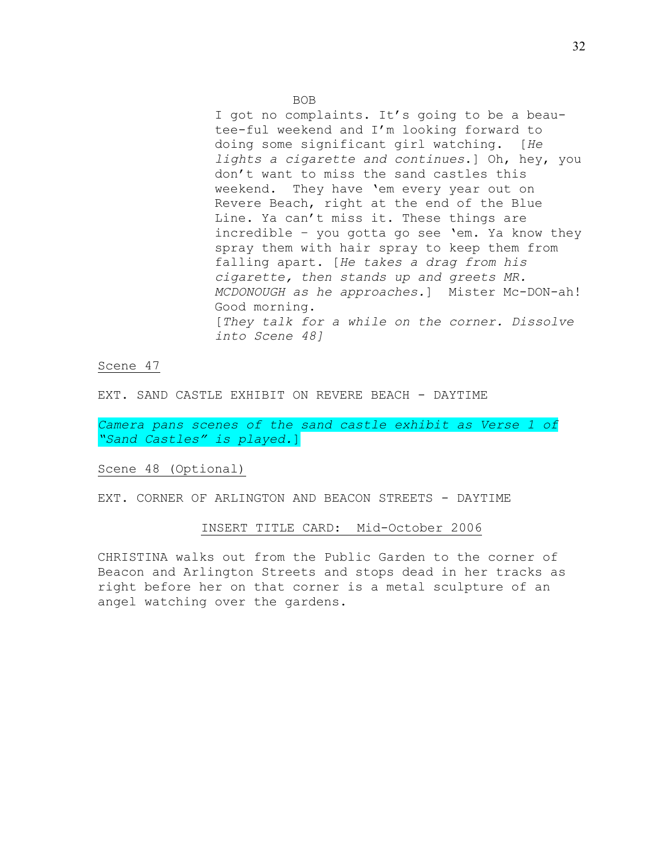I got no complaints. It's going to be a beautee-ful weekend and I'm looking forward to doing some significant girl watching. [*He lights a cigarette and continues*.] Oh, hey, you don't want to miss the sand castles this weekend. They have 'em every year out on Revere Beach, right at the end of the Blue Line. Ya can't miss it. These things are incredible – you gotta go see 'em. Ya know they spray them with hair spray to keep them from falling apart. [*He takes a drag from his cigarette, then stands up and greets MR. MCDONOUGH as he approaches.*] Mister Mc-DON-ah! Good morning. [*They talk for a while on the corner. Dissolve into Scene 48]*

Scene 47

EXT. SAND CASTLE EXHIBIT ON REVERE BEACH - DAYTIME

*Camera pans scenes of the sand castle exhibit as Verse 1 of "Sand Castles" is played.*]

Scene 48 (Optional)

EXT. CORNER OF ARLINGTON AND BEACON STREETS - DAYTIME

## INSERT TITLE CARD: Mid-October 2006

CHRISTINA walks out from the Public Garden to the corner of Beacon and Arlington Streets and stops dead in her tracks as right before her on that corner is a metal sculpture of an angel watching over the gardens.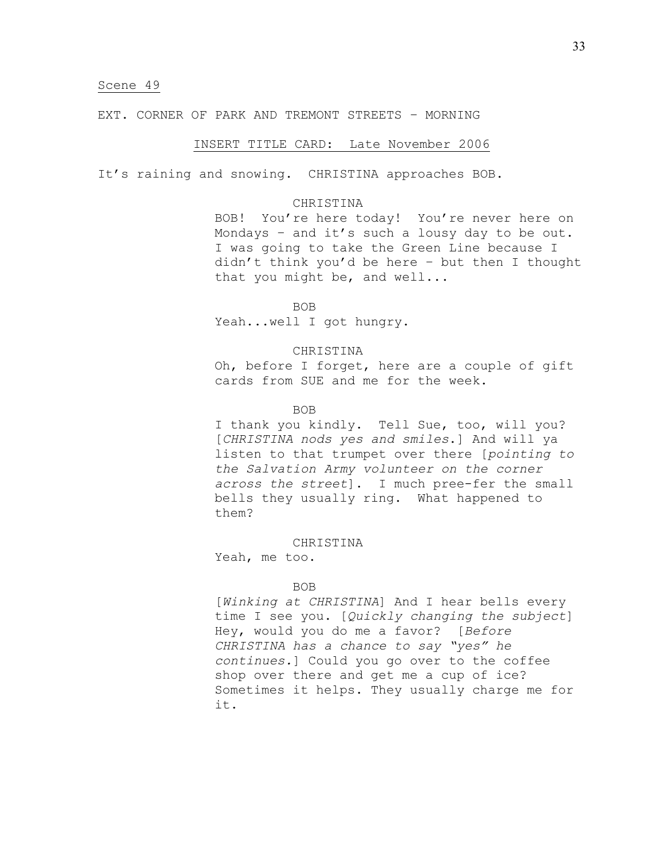EXT. CORNER OF PARK AND TREMONT STREETS – MORNING

## INSERT TITLE CARD: Late November 2006

It's raining and snowing. CHRISTINA approaches BOB.

## CHRISTINA

BOB! You're here today! You're never here on Mondays – and it's such a lousy day to be out. I was going to take the Green Line because I didn't think you'd be here – but then I thought that you might be, and well...

BOB Yeah...well I got hungry.

## CHRISTINA

Oh, before I forget, here are a couple of gift cards from SUE and me for the week.

## BOB

I thank you kindly. Tell Sue, too, will you? [*CHRISTINA nods yes and smiles*.] And will ya listen to that trumpet over there [*pointing to the Salvation Army volunteer on the corner across the street*]. I much pree-fer the small bells they usually ring. What happened to them?

## CHRISTINA

Yeah, me too.

#### BOB

[*Winking at CHRISTINA*] And I hear bells every time I see you. [*Quickly changing the subject*] Hey, would you do me a favor? [*Before CHRISTINA has a chance to say "yes" he continues.*] Could you go over to the coffee shop over there and get me a cup of ice? Sometimes it helps. They usually charge me for it.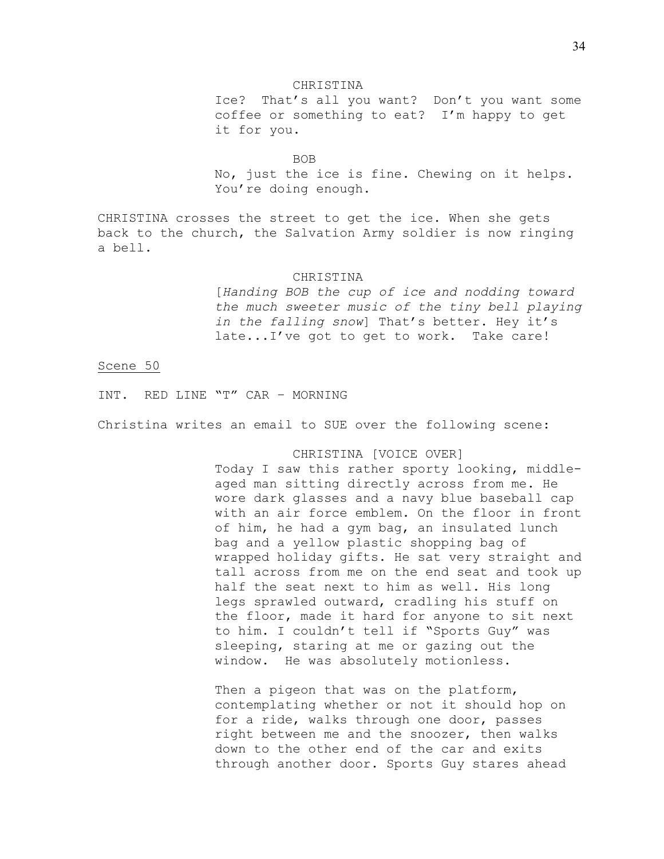## CHRISTINA

Ice? That's all you want? Don't you want some coffee or something to eat? I'm happy to get it for you.

### BOB

No, just the ice is fine. Chewing on it helps. You're doing enough.

CHRISTINA crosses the street to get the ice. When she gets back to the church, the Salvation Army soldier is now ringing a bell.

#### CHRISTINA

[*Handing BOB the cup of ice and nodding toward the much sweeter music of the tiny bell playing in the falling snow*] That's better. Hey it's late...I've got to get to work. Take care!

## Scene 50

INT. RED LINE "T" CAR – MORNING

Christina writes an email to SUE over the following scene:

## CHRISTINA [VOICE OVER]

Today I saw this rather sporty looking, middleaged man sitting directly across from me. He wore dark glasses and a navy blue baseball cap with an air force emblem. On the floor in front of him, he had a gym bag, an insulated lunch bag and a yellow plastic shopping bag of wrapped holiday gifts. He sat very straight and tall across from me on the end seat and took up half the seat next to him as well. His long legs sprawled outward, cradling his stuff on the floor, made it hard for anyone to sit next to him. I couldn't tell if "Sports Guy" was sleeping, staring at me or gazing out the window. He was absolutely motionless.

Then a pigeon that was on the platform, contemplating whether or not it should hop on for a ride, walks through one door, passes right between me and the snoozer, then walks down to the other end of the car and exits through another door. Sports Guy stares ahead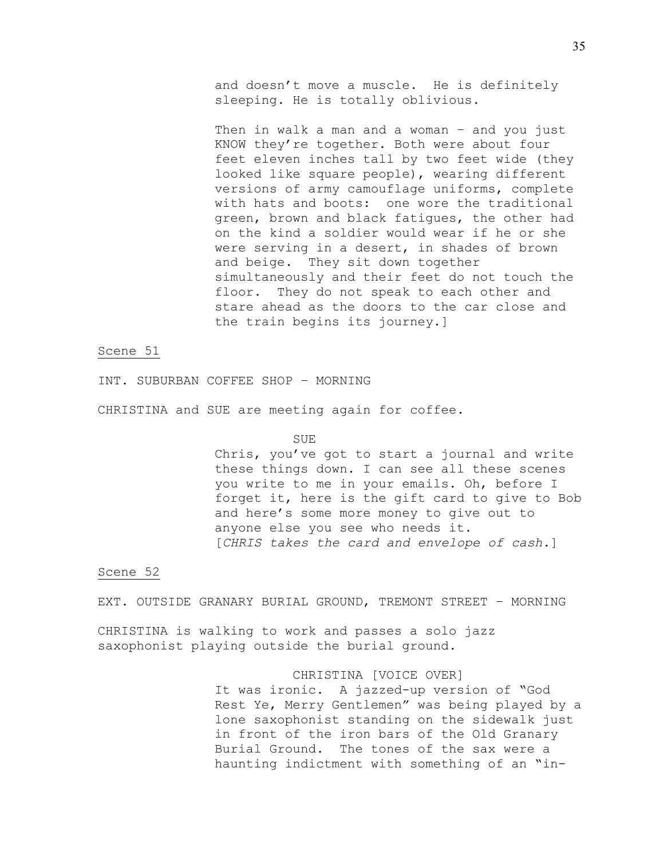and doesn't move a muscle. He is definitely sleeping. He is totally oblivious.

Then in walk a man and a woman – and you just KNOW they're together. Both were about four feet eleven inches tall by two feet wide (they looked like square people), wearing different versions of army camouflage uniforms, complete with hats and boots: one wore the traditional green, brown and black fatigues, the other had on the kind a soldier would wear if he or she were serving in a desert, in shades of brown and beige. They sit down together simultaneously and their feet do not touch the floor. They do not speak to each other and stare ahead as the doors to the car close and the train begins its journey.]

# Scene 51

INT. SUBURBAN COFFEE SHOP – MORNING

CHRISTINA and SUE are meeting again for coffee.

### SUE

Chris, you've got to start a journal and write these things down. I can see all these scenes you write to me in your emails. Oh, before I forget it, here is the gift card to give to Bob and here's some more money to give out to anyone else you see who needs it. [*CHRIS takes the card and envelope of cash.*]

## Scene 52

EXT. OUTSIDE GRANARY BURIAL GROUND, TREMONT STREET – MORNING

CHRISTINA is walking to work and passes a solo jazz saxophonist playing outside the burial ground.

# CHRISTINA [VOICE OVER]

It was ironic. A jazzed-up version of "God Rest Ye, Merry Gentlemen" was being played by a lone saxophonist standing on the sidewalk just in front of the iron bars of the Old Granary Burial Ground. The tones of the sax were a haunting indictment with something of an "in-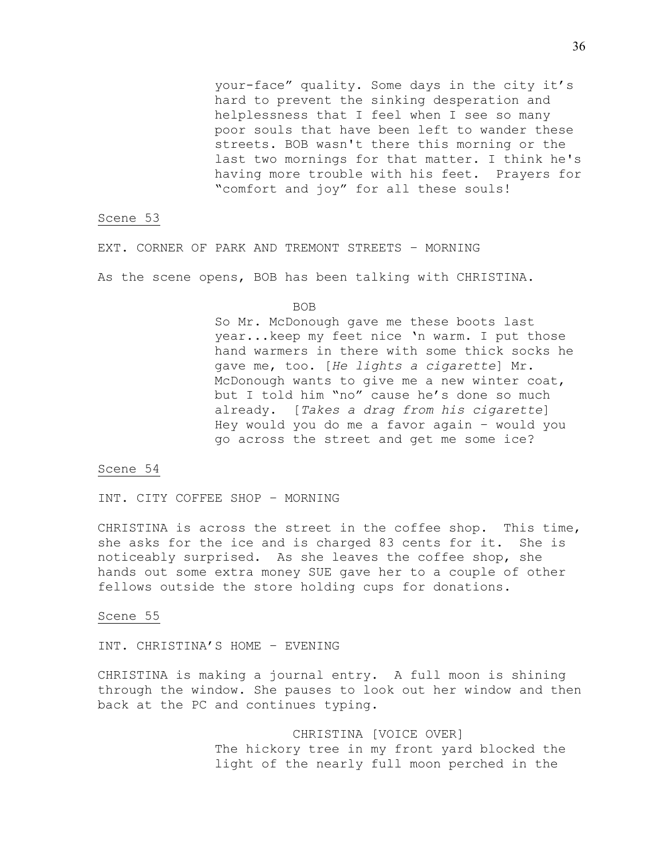your-face" quality. Some days in the city it's hard to prevent the sinking desperation and helplessness that I feel when I see so many poor souls that have been left to wander these streets. BOB wasn't there this morning or the last two mornings for that matter. I think he's having more trouble with his feet. Prayers for "comfort and joy" for all these souls!

## Scene 53

EXT. CORNER OF PARK AND TREMONT STREETS – MORNING

As the scene opens, BOB has been talking with CHRISTINA.

BOB

So Mr. McDonough gave me these boots last year...keep my feet nice 'n warm. I put those hand warmers in there with some thick socks he gave me, too. [*He lights a cigarette*] Mr. McDonough wants to give me a new winter coat, but I told him "no" cause he's done so much already. [*Takes a drag from his cigarette*] Hey would you do me a favor again – would you go across the street and get me some ice?

### Scene 54

INT. CITY COFFEE SHOP – MORNING

CHRISTINA is across the street in the coffee shop. This time, she asks for the ice and is charged 83 cents for it. She is noticeably surprised. As she leaves the coffee shop, she hands out some extra money SUE gave her to a couple of other fellows outside the store holding cups for donations.

### Scene 55

INT. CHRISTINA'S HOME – EVENING

CHRISTINA is making a journal entry. A full moon is shining through the window. She pauses to look out her window and then back at the PC and continues typing.

> CHRISTINA [VOICE OVER] The hickory tree in my front yard blocked the light of the nearly full moon perched in the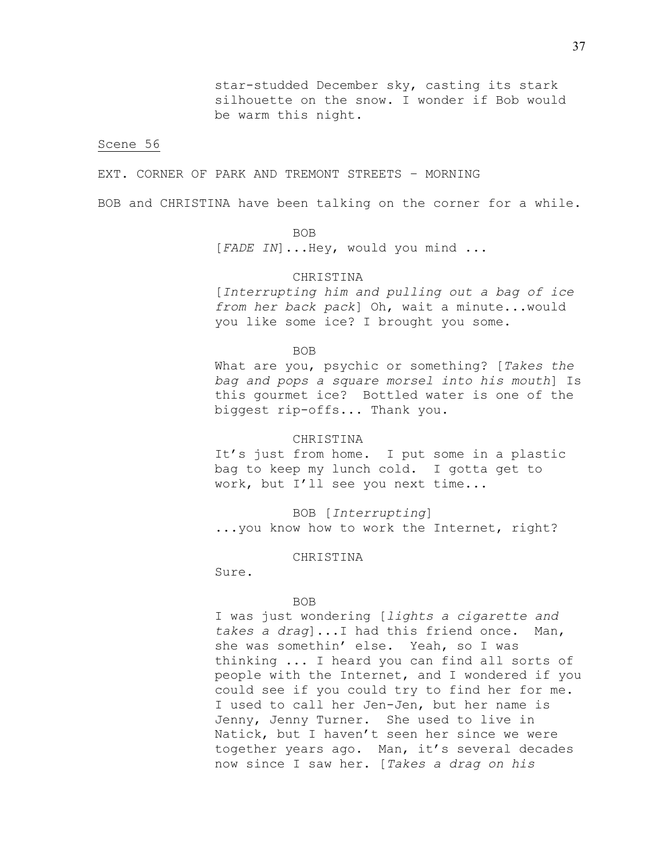EXT. CORNER OF PARK AND TREMONT STREETS – MORNING

BOB and CHRISTINA have been talking on the corner for a while.

# BOB

[*FADE IN*]...Hey, would you mind ...

## CHRISTINA

[*Interrupting him and pulling out a bag of ice from her back pack*] Oh, wait a minute...would you like some ice? I brought you some.

BOB

What are you, psychic or something? [*Takes the bag and pops a square morsel into his mouth*] Is this gourmet ice? Bottled water is one of the biggest rip-offs... Thank you.

## **CHRISTINA**

It's just from home. I put some in a plastic bag to keep my lunch cold. I gotta get to work, but I'll see you next time...

BOB [*Interrupting*] ...you know how to work the Internet, right?

### CHRISTINA

Sure.

## BOB

I was just wondering [*lights a cigarette and takes a drag*]...I had this friend once. Man, she was somethin' else. Yeah, so I was thinking ... I heard you can find all sorts of people with the Internet, and I wondered if you could see if you could try to find her for me. I used to call her Jen-Jen, but her name is Jenny, Jenny Turner. She used to live in Natick, but I haven't seen her since we were together years ago. Man, it's several decades now since I saw her. [*Takes a drag on his*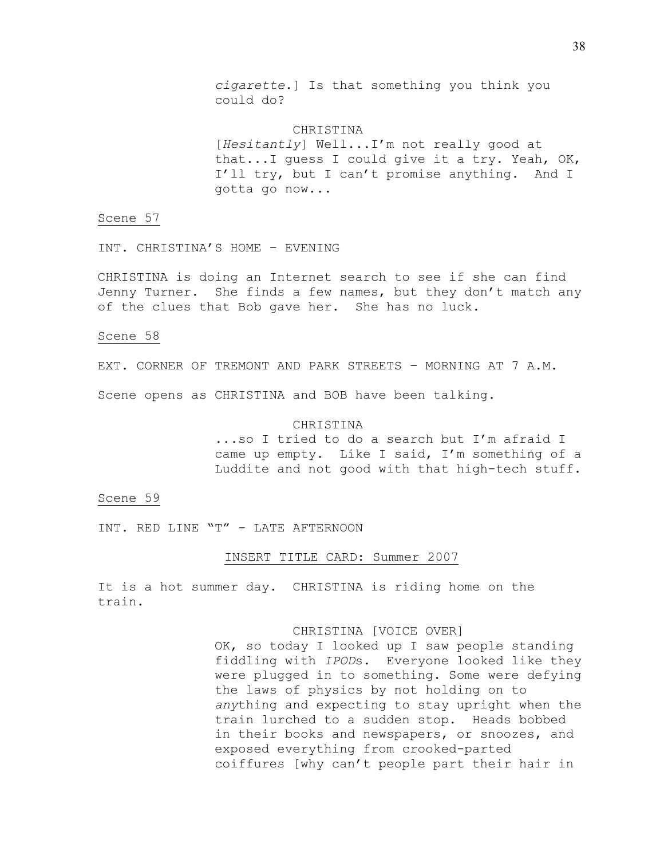*cigarette*.] Is that something you think you could do?

**CHRISTINA** [*Hesitantly*] Well...I'm not really good at that...I guess I could give it a try. Yeah, OK, I'll try, but I can't promise anything. And I gotta go now...

## Scene 57

INT. CHRISTINA'S HOME – EVENING

CHRISTINA is doing an Internet search to see if she can find Jenny Turner. She finds a few names, but they don't match any of the clues that Bob gave her. She has no luck.

## Scene 58

EXT. CORNER OF TREMONT AND PARK STREETS – MORNING AT 7 A.M.

Scene opens as CHRISTINA and BOB have been talking.

# CHRISTINA

...so I tried to do a search but I'm afraid I came up empty. Like I said, I'm something of a Luddite and not good with that high-tech stuff.

### Scene 59

INT. RED LINE "T" - LATE AFTERNOON

#### INSERT TITLE CARD: Summer 2007

It is a hot summer day. CHRISTINA is riding home on the train.

## CHRISTINA [VOICE OVER]

OK, so today I looked up I saw people standing fiddling with *IPOD*s. Everyone looked like they were plugged in to something. Some were defying the laws of physics by not holding on to *any*thing and expecting to stay upright when the train lurched to a sudden stop. Heads bobbed in their books and newspapers, or snoozes, and exposed everything from crooked-parted coiffures [why can't people part their hair in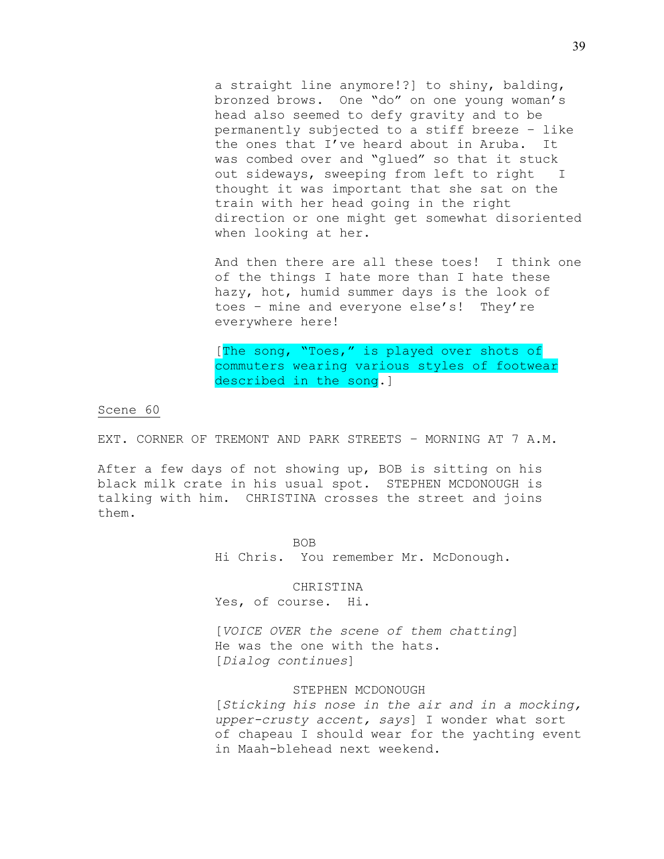a straight line anymore!?] to shiny, balding, bronzed brows. One "do" on one young woman's head also seemed to defy gravity and to be permanently subjected to a stiff breeze – like the ones that I've heard about in Aruba. It was combed over and "glued" so that it stuck out sideways, sweeping from left to right I thought it was important that she sat on the train with her head going in the right direction or one might get somewhat disoriented when looking at her.

And then there are all these toes! I think one of the things I hate more than I hate these hazy, hot, humid summer days is the look of toes – mine and everyone else's! They're everywhere here!

[The song, "Toes," is played over shots of commuters wearing various styles of footwear described in the song.]

# Scene 60

EXT. CORNER OF TREMONT AND PARK STREETS – MORNING AT 7 A.M.

After a few days of not showing up, BOB is sitting on his black milk crate in his usual spot. STEPHEN MCDONOUGH is talking with him. CHRISTINA crosses the street and joins them.

> BOB Hi Chris. You remember Mr. McDonough.

> > CHRISTINA

Yes, of course. Hi.

[*VOICE OVER the scene of them chatting*] He was the one with the hats. [*Dialog continues*]

## STEPHEN MCDONOUGH

[*Sticking his nose in the air and in a mocking, upper-crusty accent, says*] I wonder what sort of chapeau I should wear for the yachting event in Maah-blehead next weekend.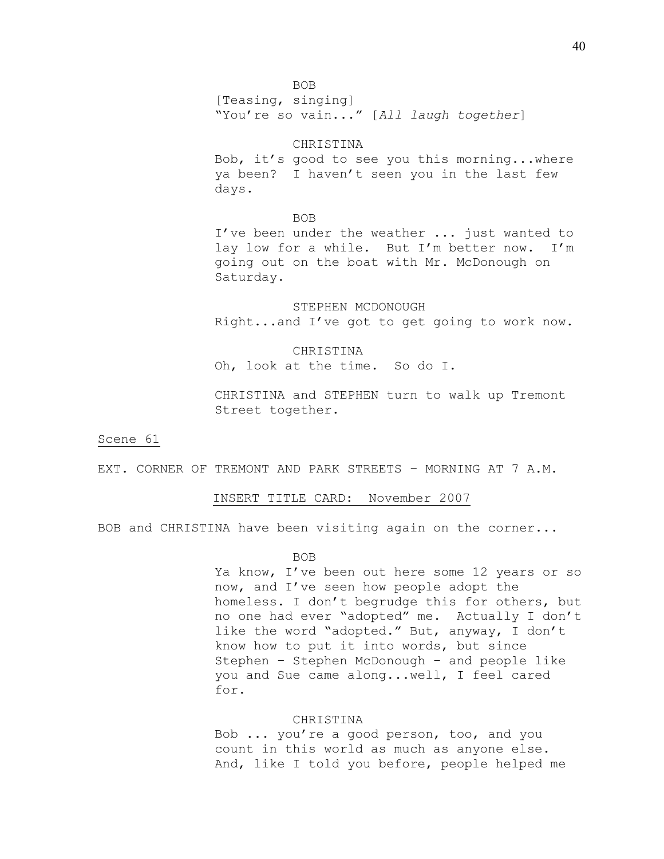[Teasing, singing] "You're so vain..." [*All laugh together*]

## CHRISTINA

Bob, it's good to see you this morning...where ya been? I haven't seen you in the last few days.

BOB

I've been under the weather ... just wanted to lay low for a while. But I'm better now. I'm going out on the boat with Mr. McDonough on Saturday.

STEPHEN MCDONOUGH Right...and I've got to get going to work now.

CHRISTINA

Oh, look at the time. So do I.

CHRISTINA and STEPHEN turn to walk up Tremont Street together.

Scene 61

EXT. CORNER OF TREMONT AND PARK STREETS – MORNING AT 7 A.M.

### INSERT TITLE CARD: November 2007

BOB and CHRISTINA have been visiting again on the corner...

### BOB

Ya know, I've been out here some 12 years or so now, and I've seen how people adopt the homeless. I don't begrudge this for others, but no one had ever "adopted" me. Actually I don't like the word "adopted." But, anyway, I don't know how to put it into words, but since Stephen – Stephen McDonough – and people like you and Sue came along...well, I feel cared for.

# **CHRISTINA**

Bob ... you're a good person, too, and you count in this world as much as anyone else. And, like I told you before, people helped me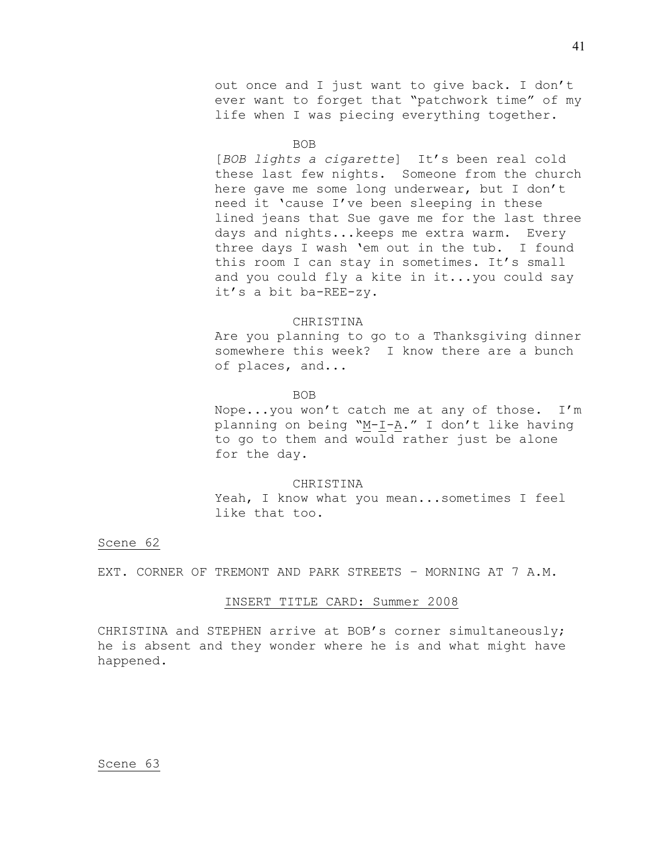out once and I just want to give back. I don't ever want to forget that "patchwork time" of my life when I was piecing everything together.

#### BOB

[*BOB lights a cigarette*] It's been real cold these last few nights. Someone from the church here gave me some long underwear, but I don't need it 'cause I've been sleeping in these lined jeans that Sue gave me for the last three days and nights...keeps me extra warm. Every three days I wash 'em out in the tub. I found this room I can stay in sometimes. It's small and you could fly a kite in it...you could say it's a bit ba-REE-zy.

### CHRISTINA

Are you planning to go to a Thanksgiving dinner somewhere this week? I know there are a bunch of places, and...

#### BOB

Nope...you won't catch me at any of those. I'm planning on being "M-I-A." I don't like having to go to them and would rather just be alone for the day.

## CHRISTINA

Yeah, I know what you mean...sometimes I feel like that too.

## Scene 62

EXT. CORNER OF TREMONT AND PARK STREETS – MORNING AT 7 A.M.

# INSERT TITLE CARD: Summer 2008

CHRISTINA and STEPHEN arrive at BOB's corner simultaneously; he is absent and they wonder where he is and what might have happened.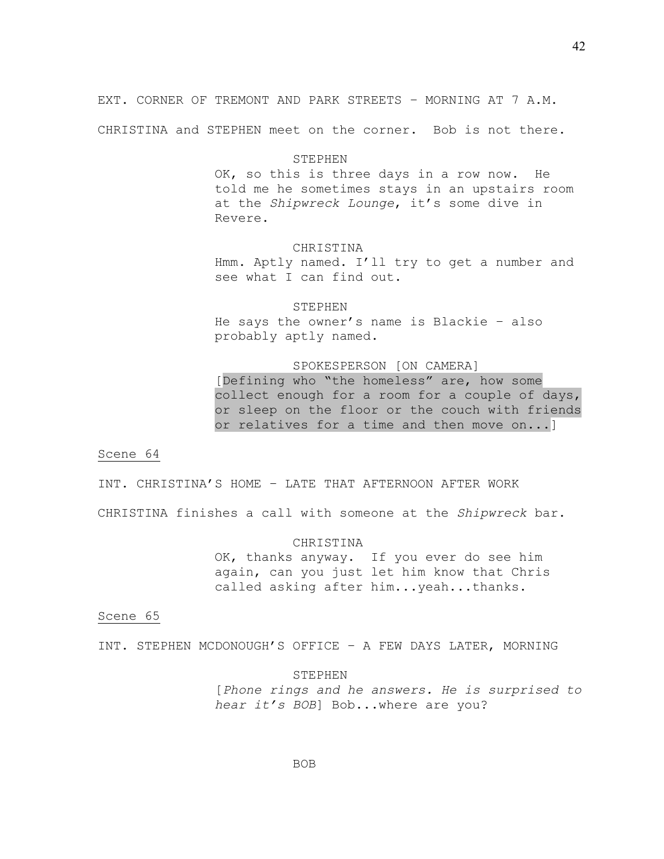EXT. CORNER OF TREMONT AND PARK STREETS – MORNING AT 7 A.M.

CHRISTINA and STEPHEN meet on the corner. Bob is not there.

## STEPHEN

OK, so this is three days in a row now. He told me he sometimes stays in an upstairs room at the *Shipwreck Lounge*, it's some dive in Revere.

#### CHRISTINA

Hmm. Aptly named. I'll try to get a number and see what I can find out.

STEPHEN He says the owner's name is Blackie – also probably aptly named.

## SPOKESPERSON [ON CAMERA]

[Defining who "the homeless" are, how some collect enough for a room for a couple of days, or sleep on the floor or the couch with friends or relatives for a time and then move on...]

### Scene 64

INT. CHRISTINA'S HOME – LATE THAT AFTERNOON AFTER WORK

CHRISTINA finishes a call with someone at the *Shipwreck* bar.

## CHRISTINA

OK, thanks anyway. If you ever do see him again, can you just let him know that Chris called asking after him...yeah...thanks.

## Scene 65

INT. STEPHEN MCDONOUGH'S OFFICE – A FEW DAYS LATER, MORNING

STEPHEN [*Phone rings and he answers. He is surprised to hear it's BOB*] Bob...where are you?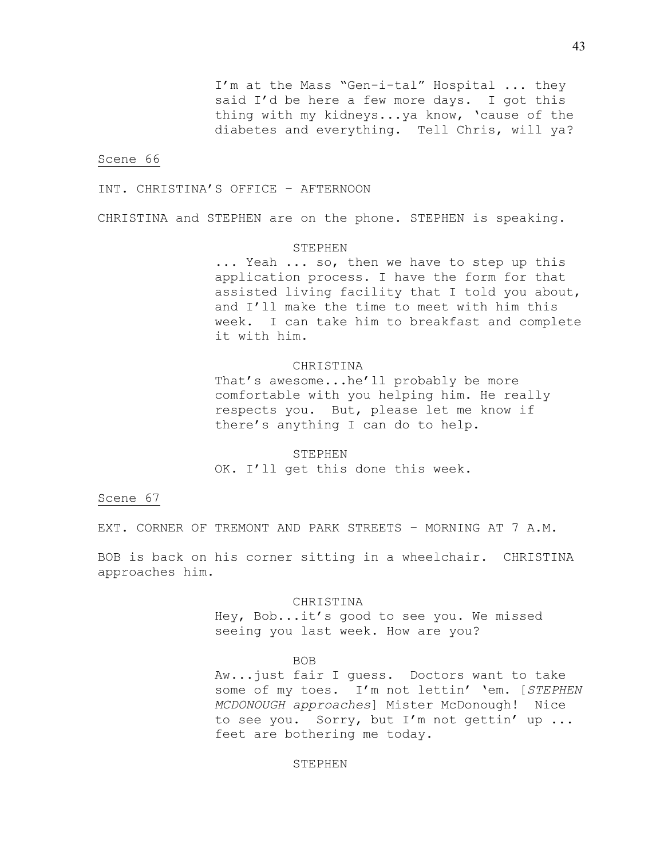I'm at the Mass "Gen-i-tal" Hospital ... they said I'd be here a few more days. I got this thing with my kidneys...ya know, 'cause of the diabetes and everything. Tell Chris, will ya?

### Scene 66

INT. CHRISTINA'S OFFICE – AFTERNOON

CHRISTINA and STEPHEN are on the phone. STEPHEN is speaking.

## STEPHEN

... Yeah ... so, then we have to step up this application process. I have the form for that assisted living facility that I told you about, and I'll make the time to meet with him this week. I can take him to breakfast and complete it with him.

## CHRISTINA

That's awesome...he'll probably be more comfortable with you helping him. He really respects you. But, please let me know if there's anything I can do to help.

STEPHEN OK. I'll get this done this week.

Scene 67

EXT. CORNER OF TREMONT AND PARK STREETS – MORNING AT 7 A.M.

BOB is back on his corner sitting in a wheelchair. CHRISTINA approaches him.

CHRISTINA

Hey, Bob...it's good to see you. We missed seeing you last week. How are you?

BOB

Aw...just fair I guess. Doctors want to take some of my toes. I'm not lettin' 'em. [*STEPHEN MCDONOUGH approaches*] Mister McDonough! Nice to see you. Sorry, but I'm not gettin' up ... feet are bothering me today.

## STEPHEN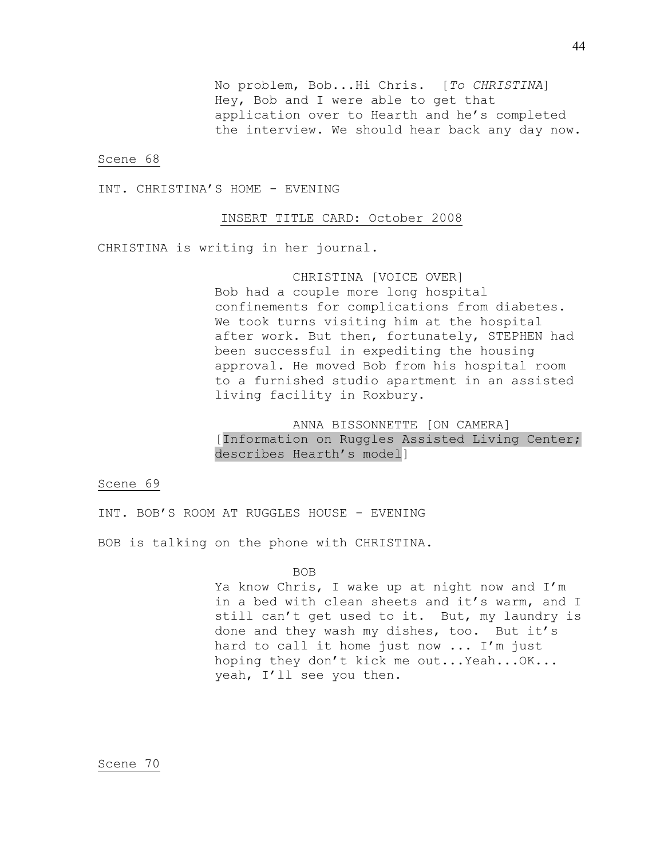No problem, Bob...Hi Chris. [*To CHRISTINA*] Hey, Bob and I were able to get that application over to Hearth and he's completed the interview. We should hear back any day now.

#### Scene 68

INT. CHRISTINA'S HOME - EVENING

## INSERT TITLE CARD: October 2008

CHRISTINA is writing in her journal.

# CHRISTINA [VOICE OVER]

Bob had a couple more long hospital confinements for complications from diabetes. We took turns visiting him at the hospital after work. But then, fortunately, STEPHEN had been successful in expediting the housing approval. He moved Bob from his hospital room to a furnished studio apartment in an assisted living facility in Roxbury.

# ANNA BISSONNETTE [ON CAMERA]

[Information on Ruggles Assisted Living Center; describes Hearth's model]

## Scene 69

INT. BOB'S ROOM AT RUGGLES HOUSE - EVENING

BOB is talking on the phone with CHRISTINA.

### BOB

Ya know Chris, I wake up at night now and I'm in a bed with clean sheets and it's warm, and I still can't get used to it. But, my laundry is done and they wash my dishes, too. But it's hard to call it home just now ... I'm just hoping they don't kick me out...Yeah...OK... yeah, I'll see you then.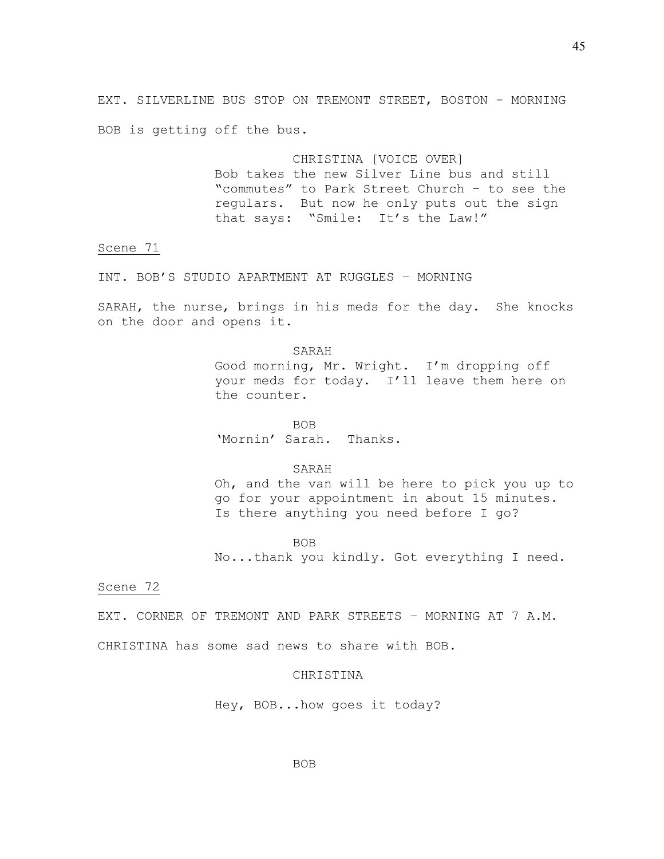EXT. SILVERLINE BUS STOP ON TREMONT STREET, BOSTON - MORNING BOB is getting off the bus.

> CHRISTINA [VOICE OVER] Bob takes the new Silver Line bus and still "commutes" to Park Street Church – to see the regulars. But now he only puts out the sign that says: "Smile: It's the Law!"

Scene 71

INT. BOB'S STUDIO APARTMENT AT RUGGLES – MORNING

SARAH, the nurse, brings in his meds for the day. She knocks on the door and opens it.

> SARAH Good morning, Mr. Wright. I'm dropping off your meds for today. I'll leave them here on the counter.

BOB 'Mornin' Sarah. Thanks.

SARAH Oh, and the van will be here to pick you up to go for your appointment in about 15 minutes. Is there anything you need before I go?

BOB No...thank you kindly. Got everything I need.

## Scene 72

EXT. CORNER OF TREMONT AND PARK STREETS – MORNING AT 7 A.M.

CHRISTINA has some sad news to share with BOB.

# CHRISTINA

Hey, BOB...how goes it today?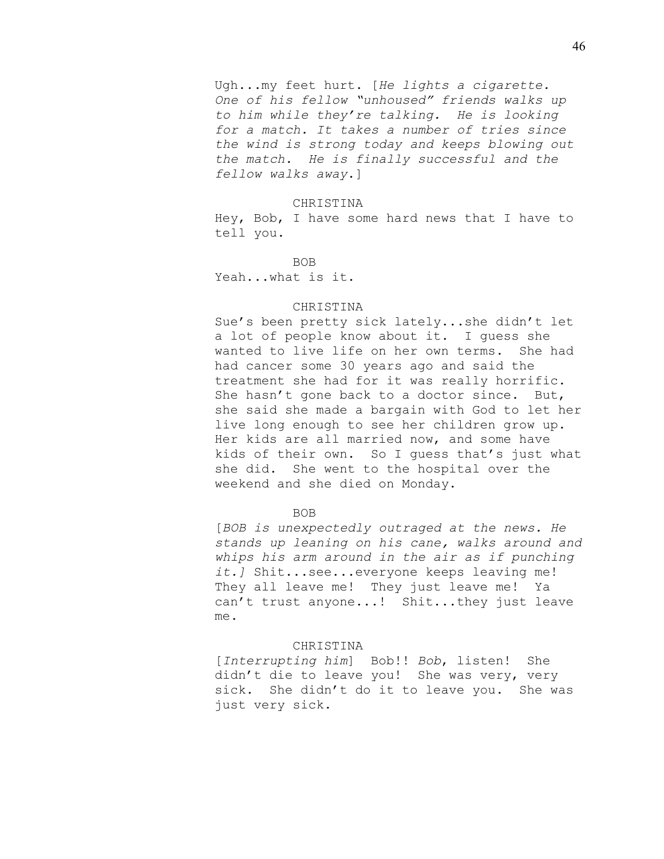Ugh...my feet hurt. [*He lights a cigarette. One of his fellow "unhoused" friends walks up to him while they're talking. He is looking for a match. It takes a number of tries since the wind is strong today and keeps blowing out the match. He is finally successful and the fellow walks away*.]

### CHRISTINA

Hey, Bob, I have some hard news that I have to tell you.

## BOB

Yeah...what is it.

### CHRISTINA

Sue's been pretty sick lately...she didn't let a lot of people know about it. I guess she wanted to live life on her own terms. She had had cancer some 30 years ago and said the treatment she had for it was really horrific. She hasn't gone back to a doctor since. But, she said she made a bargain with God to let her live long enough to see her children grow up. Her kids are all married now, and some have kids of their own. So I guess that's just what she did. She went to the hospital over the weekend and she died on Monday.

## BOB

[*BOB is unexpectedly outraged at the news. He stands up leaning on his cane, walks around and whips his arm around in the air as if punching it.]* Shit...see...everyone keeps leaving me! They all leave me! They just leave me! Ya can't trust anyone...! Shit...they just leave me.

### CHRISTINA

[*Interrupting him*] Bob!! *Bob*, listen! She didn't die to leave you! She was very, very sick. She didn't do it to leave you. She was just very sick.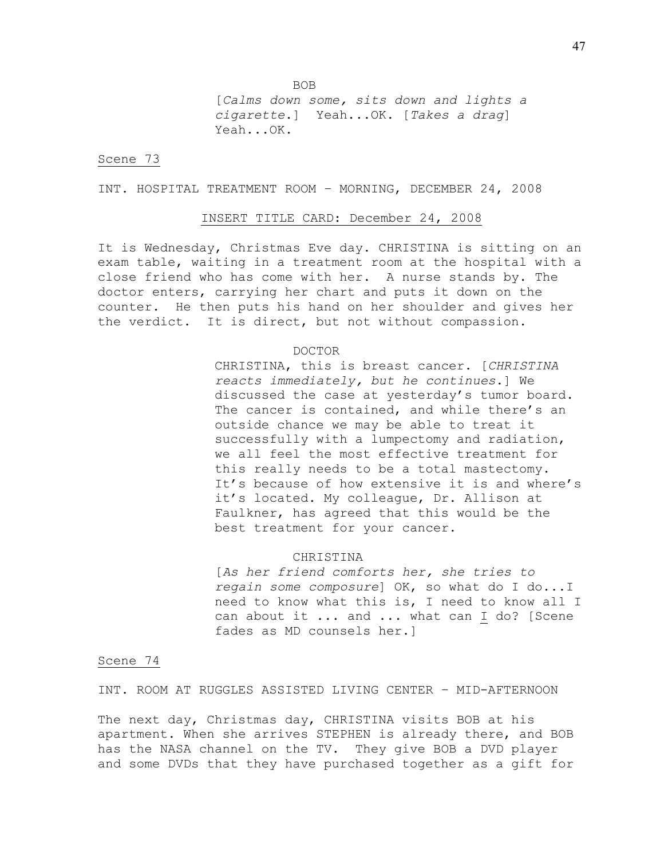BOB

[*Calms down some, sits down and lights a cigarette*.] Yeah...OK. [*Takes a drag*] Yeah...OK.

## Scene 73

INT. HOSPITAL TREATMENT ROOM – MORNING, DECEMBER 24, 2008

## INSERT TITLE CARD: December 24, 2008

It is Wednesday, Christmas Eve day. CHRISTINA is sitting on an exam table, waiting in a treatment room at the hospital with a close friend who has come with her. A nurse stands by. The doctor enters, carrying her chart and puts it down on the counter. He then puts his hand on her shoulder and gives her the verdict. It is direct, but not without compassion.

### DOCTOR

CHRISTINA, this is breast cancer. [*CHRISTINA reacts immediately, but he continues*.] We discussed the case at yesterday's tumor board. The cancer is contained, and while there's an outside chance we may be able to treat it successfully with a lumpectomy and radiation, we all feel the most effective treatment for this really needs to be a total mastectomy. It's because of how extensive it is and where's it's located. My colleague, Dr. Allison at Faulkner, has agreed that this would be the best treatment for your cancer.

#### CHRISTINA

[*As her friend comforts her, she tries to regain some composure*] OK, so what do I do...I need to know what this is, I need to know all I can about it ... and ... what can I do? [Scene fades as MD counsels her.]

## Scene 74

INT. ROOM AT RUGGLES ASSISTED LIVING CENTER – MID-AFTERNOON

The next day, Christmas day, CHRISTINA visits BOB at his apartment. When she arrives STEPHEN is already there, and BOB has the NASA channel on the TV. They give BOB a DVD player and some DVDs that they have purchased together as a gift for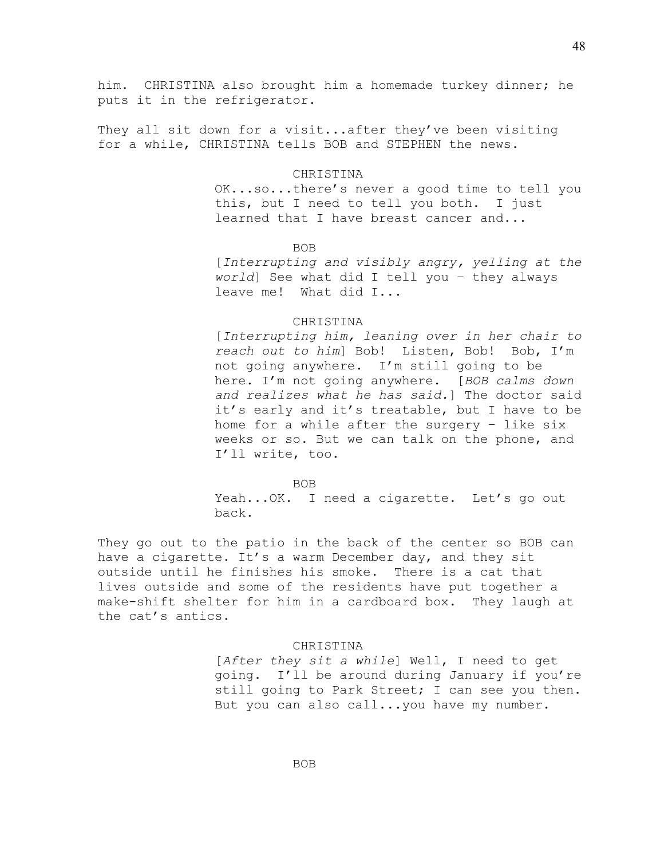him. CHRISTINA also brought him a homemade turkey dinner; he puts it in the refrigerator.

They all sit down for a visit...after they've been visiting for a while, CHRISTINA tells BOB and STEPHEN the news.

## CHRISTINA

OK...so...there's never a good time to tell you this, but I need to tell you both. I just learned that I have breast cancer and...

BOB

[*Interrupting and visibly angry, yelling at the world*] See what did I tell you – they always leave me! What did I...

## CHRISTINA

[*Interrupting him, leaning over in her chair to reach out to him*] Bob! Listen, Bob! Bob, I'm not going anywhere. I'm still going to be here. I'm not going anywhere. [*BOB calms down and realizes what he has said.*] The doctor said it's early and it's treatable, but I have to be home for a while after the surgery – like six weeks or so. But we can talk on the phone, and I'll write, too.

#### BOB

Yeah...OK. I need a cigarette. Let's go out back.

They go out to the patio in the back of the center so BOB can have a cigarette. It's a warm December day, and they sit outside until he finishes his smoke. There is a cat that lives outside and some of the residents have put together a make-shift shelter for him in a cardboard box. They laugh at the cat's antics.

### CHRISTINA

[*After they sit a while*] Well, I need to get going. I'll be around during January if you're still going to Park Street; I can see you then. But you can also call...you have my number.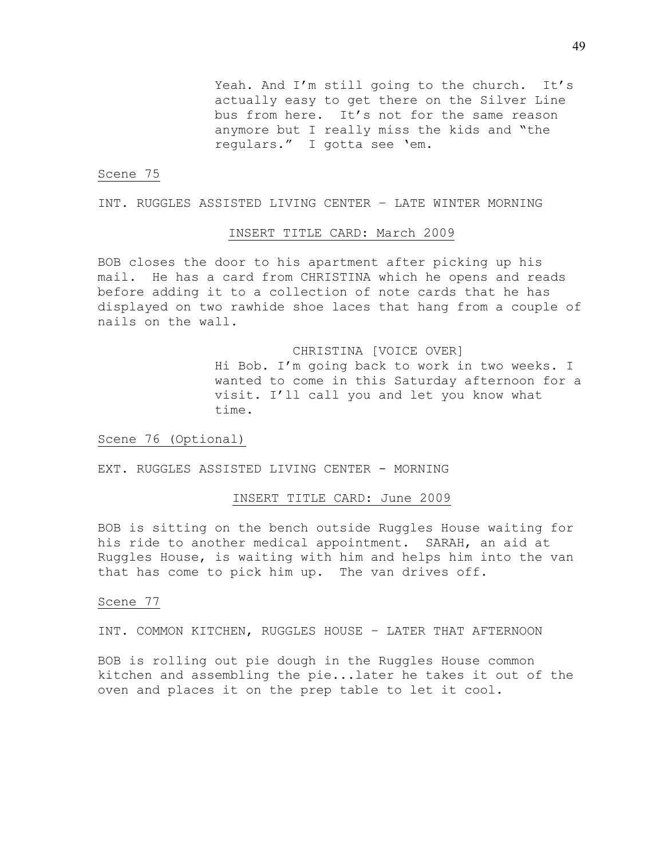Yeah. And I'm still going to the church. It's actually easy to get there on the Silver Line bus from here. It's not for the same reason anymore but I really miss the kids and "the regulars." I gotta see 'em.

## Scene 75

INT. RUGGLES ASSISTED LIVING CENTER – LATE WINTER MORNING

## INSERT TITLE CARD: March 2009

BOB closes the door to his apartment after picking up his mail. He has a card from CHRISTINA which he opens and reads before adding it to a collection of note cards that he has displayed on two rawhide shoe laces that hang from a couple of nails on the wall.

> CHRISTINA [VOICE OVER] Hi Bob. I'm going back to work in two weeks. I wanted to come in this Saturday afternoon for a visit. I'll call you and let you know what time.

Scene 76 (Optional)

EXT. RUGGLES ASSISTED LIVING CENTER - MORNING

### INSERT TITLE CARD: June 2009

BOB is sitting on the bench outside Ruggles House waiting for his ride to another medical appointment. SARAH, an aid at Ruggles House, is waiting with him and helps him into the van that has come to pick him up. The van drives off.

# Scene 77

INT. COMMON KITCHEN, RUGGLES HOUSE – LATER THAT AFTERNOON

BOB is rolling out pie dough in the Ruggles House common kitchen and assembling the pie...later he takes it out of the oven and places it on the prep table to let it cool.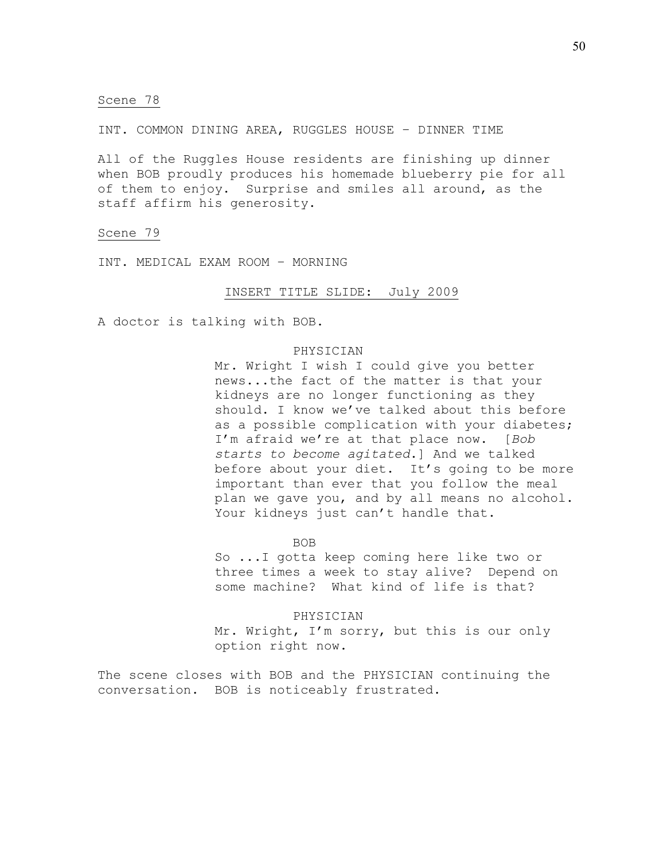INT. COMMON DINING AREA, RUGGLES HOUSE – DINNER TIME

All of the Ruggles House residents are finishing up dinner when BOB proudly produces his homemade blueberry pie for all of them to enjoy. Surprise and smiles all around, as the staff affirm his generosity.

Scene 79

INT. MEDICAL EXAM ROOM – MORNING

## INSERT TITLE SLIDE: July 2009

A doctor is talking with BOB.

## PHYSICIAN

Mr. Wright I wish I could give you better news...the fact of the matter is that your kidneys are no longer functioning as they should. I know we've talked about this before as a possible complication with your diabetes; I'm afraid we're at that place now. [*Bob starts to become agitated*.] And we talked before about your diet. It's going to be more important than ever that you follow the meal plan we gave you, and by all means no alcohol. Your kidneys just can't handle that.

BOB

So ...I gotta keep coming here like two or three times a week to stay alive? Depend on some machine? What kind of life is that?

PHYSICIAN Mr. Wright, I'm sorry, but this is our only option right now.

The scene closes with BOB and the PHYSICIAN continuing the conversation. BOB is noticeably frustrated.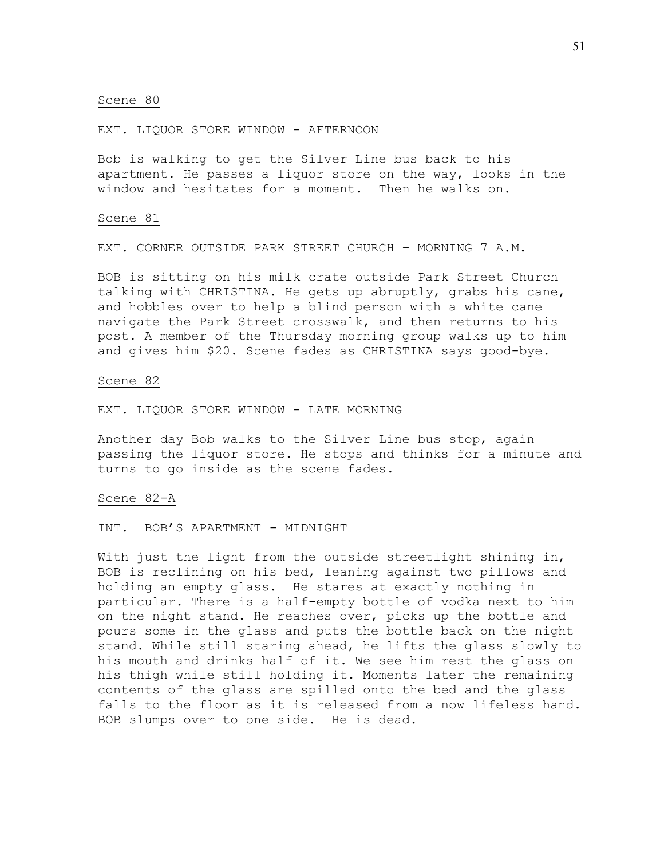EXT. LIQUOR STORE WINDOW - AFTERNOON

Bob is walking to get the Silver Line bus back to his apartment. He passes a liquor store on the way, looks in the window and hesitates for a moment. Then he walks on.

### Scene 81

EXT. CORNER OUTSIDE PARK STREET CHURCH – MORNING 7 A.M.

BOB is sitting on his milk crate outside Park Street Church talking with CHRISTINA. He gets up abruptly, grabs his cane, and hobbles over to help a blind person with a white cane navigate the Park Street crosswalk, and then returns to his post. A member of the Thursday morning group walks up to him and gives him \$20. Scene fades as CHRISTINA says good-bye.

## Scene 82

EXT. LIQUOR STORE WINDOW - LATE MORNING

Another day Bob walks to the Silver Line bus stop, again passing the liquor store. He stops and thinks for a minute and turns to go inside as the scene fades.

## Scene 82-A

## INT. BOB'S APARTMENT - MIDNIGHT

With just the light from the outside streetlight shining in, BOB is reclining on his bed, leaning against two pillows and holding an empty glass. He stares at exactly nothing in particular. There is a half-empty bottle of vodka next to him on the night stand. He reaches over, picks up the bottle and pours some in the glass and puts the bottle back on the night stand. While still staring ahead, he lifts the glass slowly to his mouth and drinks half of it. We see him rest the glass on his thigh while still holding it. Moments later the remaining contents of the glass are spilled onto the bed and the glass falls to the floor as it is released from a now lifeless hand. BOB slumps over to one side. He is dead.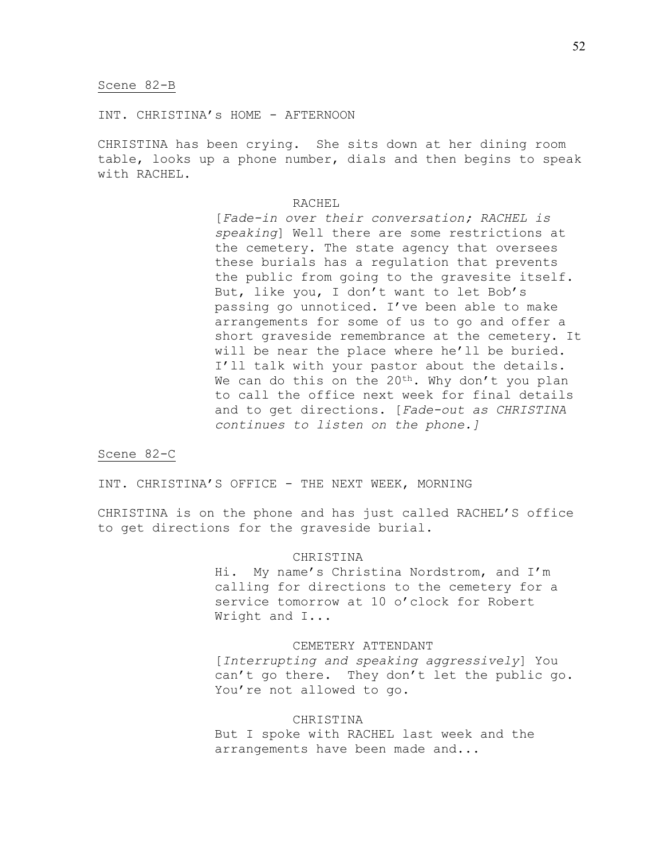INT. CHRISTINA's HOME - AFTERNOON

CHRISTINA has been crying. She sits down at her dining room table, looks up a phone number, dials and then begins to speak with RACHEL.

## RACHEL

[*Fade-in over their conversation; RACHEL is speaking*] Well there are some restrictions at the cemetery. The state agency that oversees these burials has a regulation that prevents the public from going to the gravesite itself. But, like you, I don't want to let Bob's passing go unnoticed. I've been able to make arrangements for some of us to go and offer a short graveside remembrance at the cemetery. It will be near the place where he'll be buried. I'll talk with your pastor about the details. We can do this on the  $20^{th}$ . Why don't you plan to call the office next week for final details and to get directions. [*Fade-out as CHRISTINA continues to listen on the phone.]*

## Scene 82-C

INT. CHRISTINA'S OFFICE - THE NEXT WEEK, MORNING

CHRISTINA is on the phone and has just called RACHEL'S office to get directions for the graveside burial.

## CHRISTINA

Hi. My name's Christina Nordstrom, and I'm calling for directions to the cemetery for a service tomorrow at 10 o'clock for Robert Wright and I...

## CEMETERY ATTENDANT

[*Interrupting and speaking aggressively*] You can't go there. They don't let the public go. You're not allowed to go.

# CHRISTINA

But I spoke with RACHEL last week and the arrangements have been made and...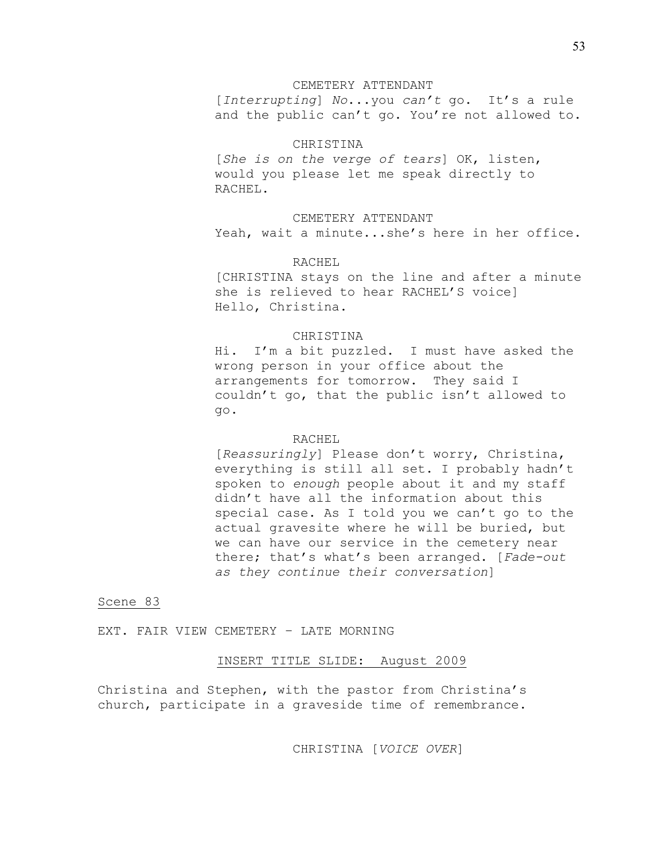### CEMETERY ATTENDANT

[*Interrupting*] *No*...you *can't* go. It's a rule and the public can't go. You're not allowed to.

# CHRISTINA

[*She is on the verge of tears*] OK, listen, would you please let me speak directly to RACHEL.

## CEMETERY ATTENDANT

Yeah, wait a minute...she's here in her office.

## RACHEL

[CHRISTINA stays on the line and after a minute she is relieved to hear RACHEL'S voice] Hello, Christina.

## CHRISTINA

Hi. I'm a bit puzzled. I must have asked the wrong person in your office about the arrangements for tomorrow. They said I couldn't go, that the public isn't allowed to go.

## RACHEL

[*Reassuringly*] Please don't worry, Christina, everything is still all set. I probably hadn't spoken to *enough* people about it and my staff didn't have all the information about this special case. As I told you we can't go to the actual gravesite where he will be buried, but we can have our service in the cemetery near there; that's what's been arranged. [*Fade-out as they continue their conversation*]

# Scene 83

EXT. FAIR VIEW CEMETERY – LATE MORNING

# INSERT TITLE SLIDE: August 2009

Christina and Stephen, with the pastor from Christina's church, participate in a graveside time of remembrance.

CHRISTINA [*VOICE OVER*]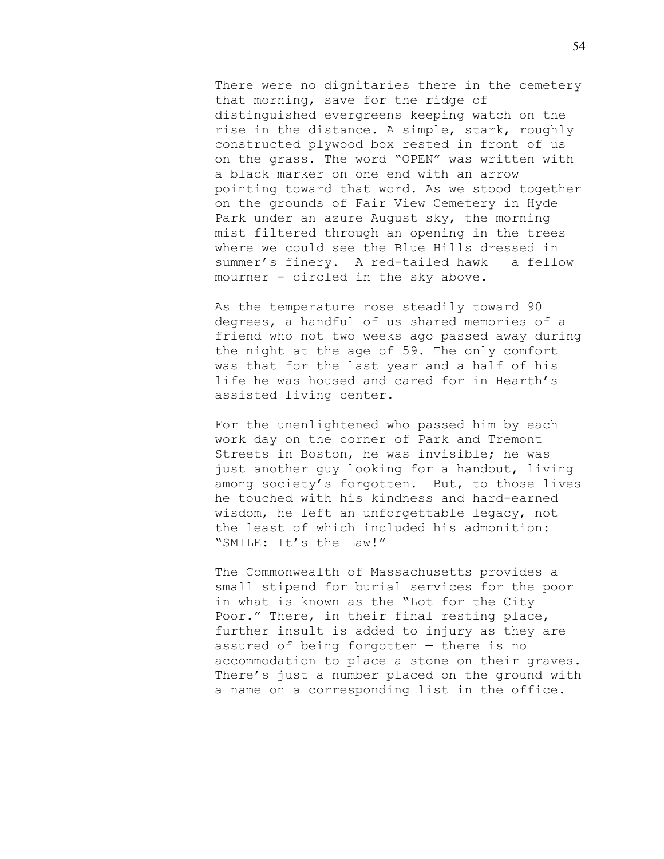There were no dignitaries there in the cemetery that morning, save for the ridge of distinguished evergreens keeping watch on the rise in the distance. A simple, stark, roughly constructed plywood box rested in front of us on the grass. The word "OPEN" was written with a black marker on one end with an arrow pointing toward that word. As we stood together on the grounds of Fair View Cemetery in Hyde Park under an azure August sky, the morning mist filtered through an opening in the trees where we could see the Blue Hills dressed in summer's finery. A red-tailed hawk — a fellow mourner - circled in the sky above.

As the temperature rose steadily toward 90 degrees, a handful of us shared memories of a friend who not two weeks ago passed away during the night at the age of 59. The only comfort was that for the last year and a half of his life he was housed and cared for in Hearth's assisted living center.

For the unenlightened who passed him by each work day on the corner of Park and Tremont Streets in Boston, he was invisible; he was just another guy looking for a handout, living among society's forgotten. But, to those lives he touched with his kindness and hard-earned wisdom, he left an unforgettable legacy, not the least of which included his admonition: "SMILE: It's the Law!"

The Commonwealth of Massachusetts provides a small stipend for burial services for the poor in what is known as the "Lot for the City Poor." There, in their final resting place, further insult is added to injury as they are assured of being forgotten — there is no accommodation to place a stone on their graves. There's just a number placed on the ground with a name on a corresponding list in the office.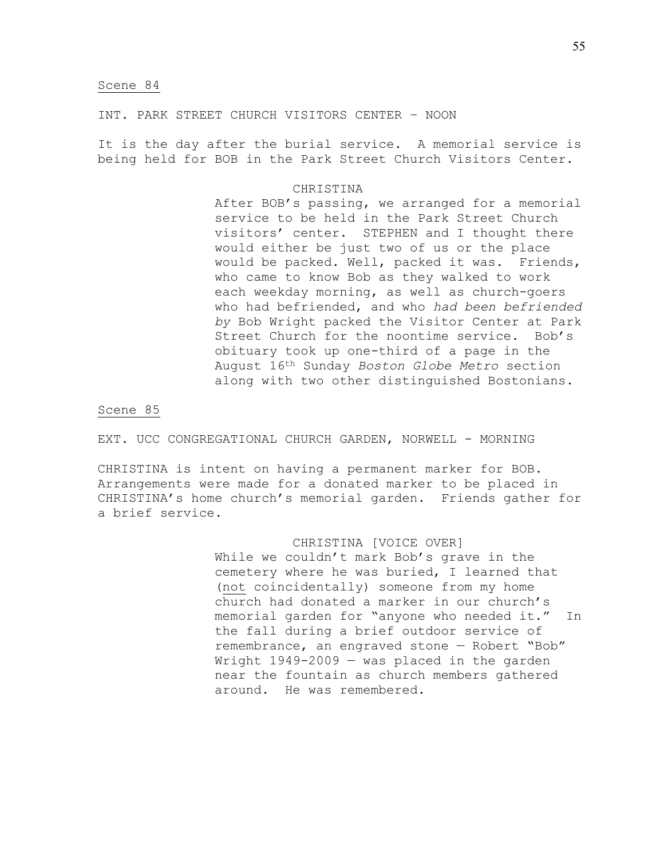INT. PARK STREET CHURCH VISITORS CENTER – NOON

It is the day after the burial service. A memorial service is being held for BOB in the Park Street Church Visitors Center.

## CHRISTINA

After BOB's passing, we arranged for a memorial service to be held in the Park Street Church visitors' center. STEPHEN and I thought there would either be just two of us or the place would be packed. Well, packed it was. Friends, who came to know Bob as they walked to work each weekday morning, as well as church-goers who had befriended, and who *had been befriended by* Bob Wright packed the Visitor Center at Park Street Church for the noontime service. Bob's obituary took up one-third of a page in the August 16th Sunday *Boston Globe Metro* section along with two other distinguished Bostonians.

## Scene 85

EXT. UCC CONGREGATIONAL CHURCH GARDEN, NORWELL - MORNING

CHRISTINA is intent on having a permanent marker for BOB. Arrangements were made for a donated marker to be placed in CHRISTINA's home church's memorial garden. Friends gather for a brief service.

# CHRISTINA [VOICE OVER]

While we couldn't mark Bob's grave in the cemetery where he was buried, I learned that (not coincidentally) someone from my home church had donated a marker in our church's memorial garden for "anyone who needed it." In the fall during a brief outdoor service of remembrance, an engraved stone — Robert "Bob" Wright 1949-2009 — was placed in the garden near the fountain as church members gathered around. He was remembered.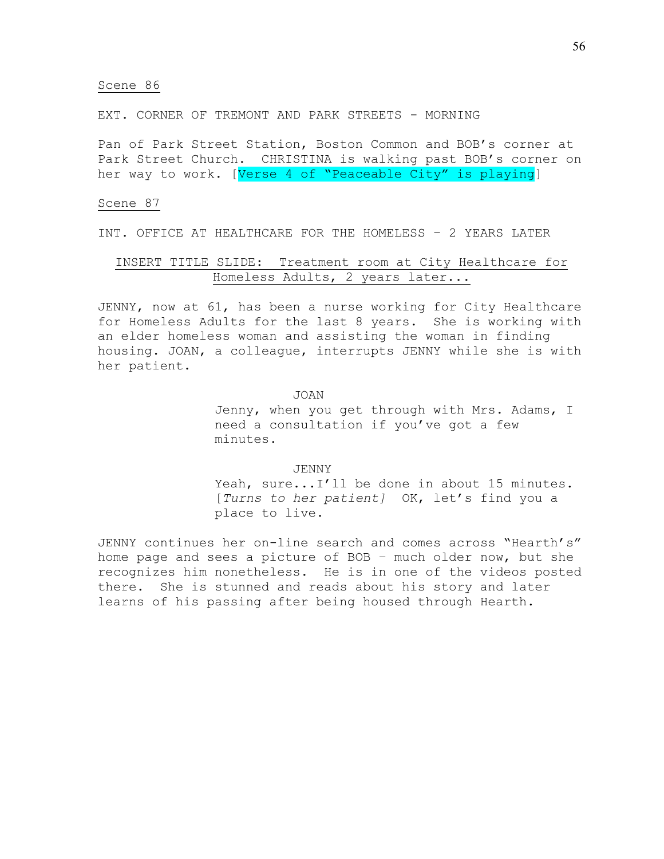EXT. CORNER OF TREMONT AND PARK STREETS - MORNING

Pan of Park Street Station, Boston Common and BOB's corner at Park Street Church. CHRISTINA is walking past BOB's corner on her way to work. [Verse 4 of "Peaceable City" is playing]

## Scene 87

INT. OFFICE AT HEALTHCARE FOR THE HOMELESS – 2 YEARS LATER

# INSERT TITLE SLIDE: Treatment room at City Healthcare for Homeless Adults, 2 years later...

JENNY, now at 61, has been a nurse working for City Healthcare for Homeless Adults for the last 8 years. She is working with an elder homeless woman and assisting the woman in finding housing. JOAN, a colleague, interrupts JENNY while she is with her patient.

JOAN

Jenny, when you get through with Mrs. Adams, I need a consultation if you've got a few minutes.

JENNY Yeah, sure...I'll be done in about 15 minutes. [*Turns to her patient]* OK, let's find you a place to live.

JENNY continues her on-line search and comes across "Hearth's" home page and sees a picture of BOB – much older now, but she recognizes him nonetheless. He is in one of the videos posted there. She is stunned and reads about his story and later learns of his passing after being housed through Hearth.